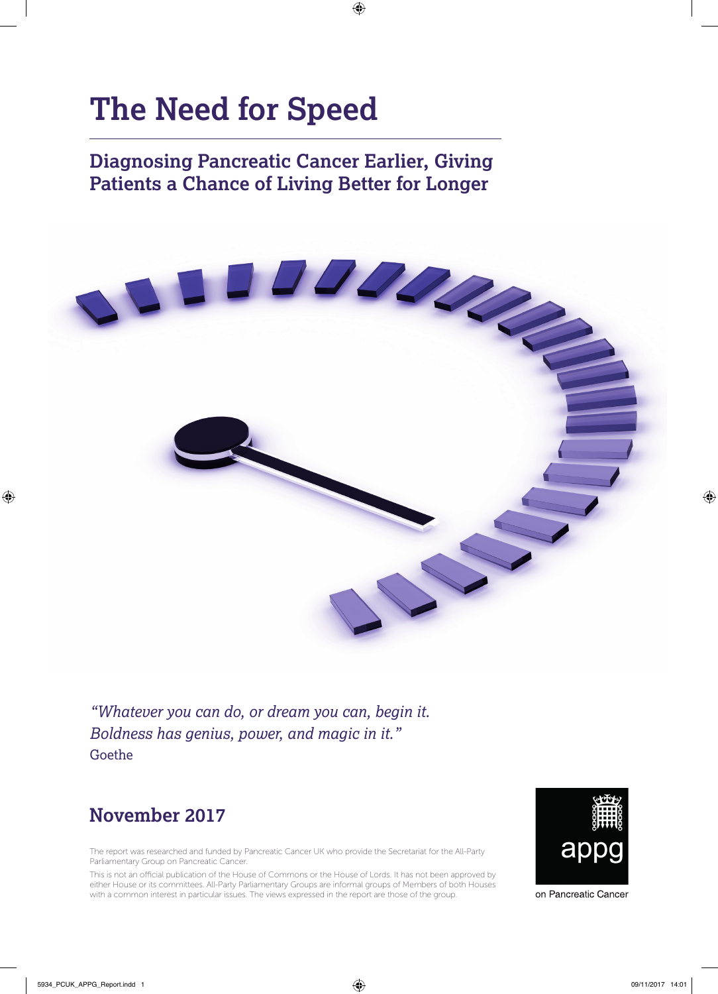## **The Need for Speed**

**Diagnosing Pancreatic Cancer Earlier, Giving Patients a Chance of Living Better for Longer**



⊕

*"Whatever you can do, or dream you can, begin it. Boldness has genius, power, and magic in it."* Goethe

### **November 2017**

The report was researched and funded by Pancreatic Cancer UK who provide the Secretariat for the All-Party Parliamentary Group on Pancreatic Cancer.

This is not an official publication of the House of Commons or the House of Lords. It has not been approved by either House or its committees. All-Party Parliamentary Groups are informal groups of Members of both Houses with a common interest in particular issues. The views expressed in the report are those of the group.



on Pancreatic Cancer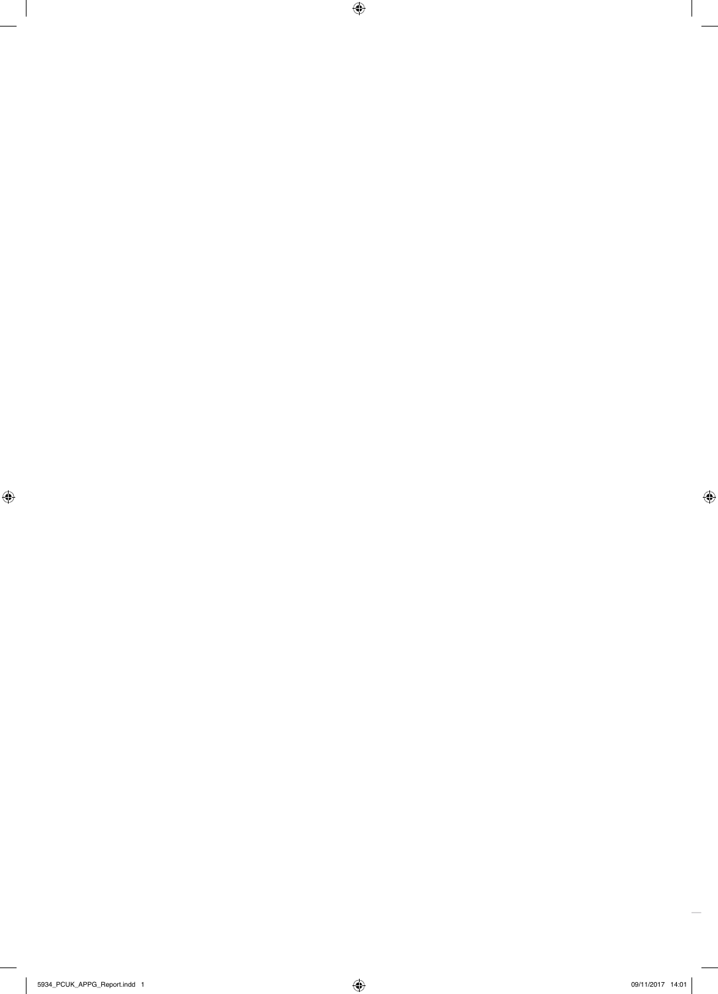$\equiv$ 

 $\bigoplus$ 

**01** | **ALL PARTY PARLIAMENTARY GROUP ON PANCREATIC CANCER** |

 $\bigoplus$ 

 $\bigoplus$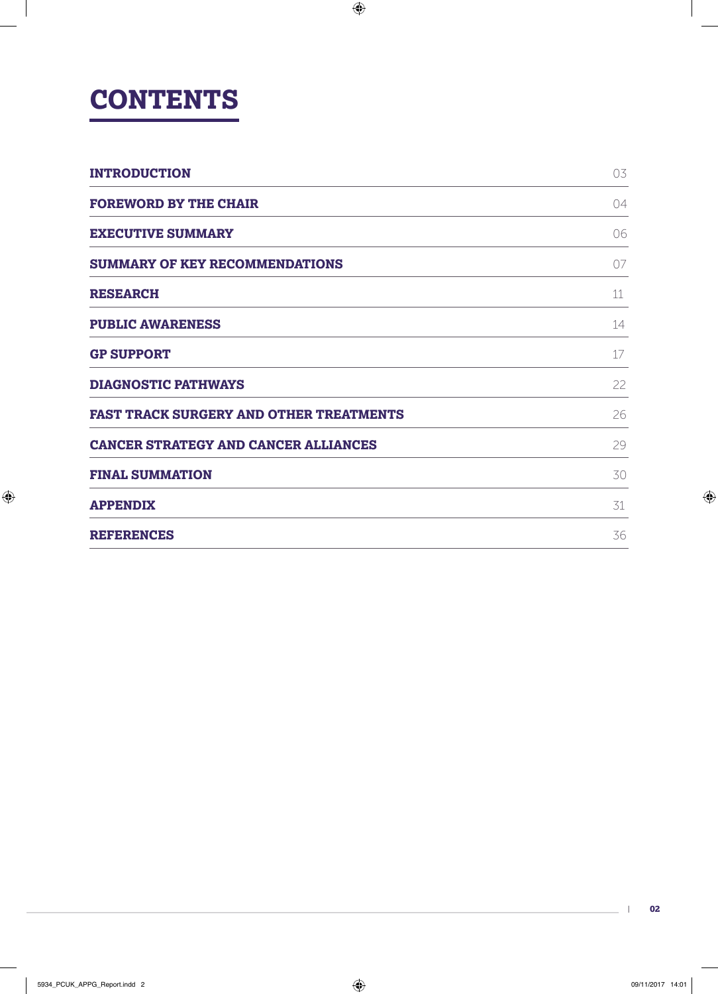## **CONTENTS**

| <b>INTRODUCTION</b>                            | 03 |
|------------------------------------------------|----|
| <b>FOREWORD BY THE CHAIR</b>                   | 04 |
| <b>EXECUTIVE SUMMARY</b>                       | 06 |
| <b>SUMMARY OF KEY RECOMMENDATIONS</b>          | 07 |
| <b>RESEARCH</b>                                | 11 |
| <b>PUBLIC AWARENESS</b>                        | 14 |
| <b>GP SUPPORT</b>                              | 17 |
| <b>DIAGNOSTIC PATHWAYS</b>                     | 22 |
| <b>FAST TRACK SURGERY AND OTHER TREATMENTS</b> | 26 |
| <b>CANCER STRATEGY AND CANCER ALLIANCES</b>    | 29 |
| <b>FINAL SUMMATION</b>                         | 30 |
| <b>APPENDIX</b>                                | 31 |
| <b>REFERENCES</b>                              | 36 |

 $\bigoplus$ 

 $\bigoplus$ 

 $\bigoplus$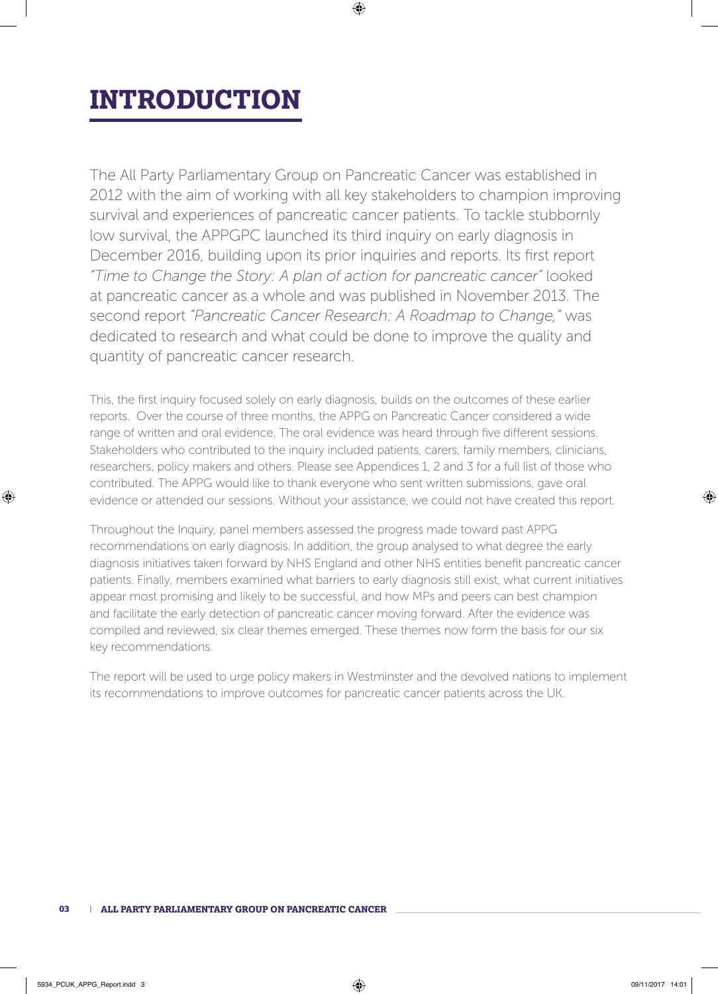### **INTRODUCTION**

The All Party Parliamentary Group on Pancreatic Cancer was established in 2012 with the aim of working with all key stakeholders to champion improving survival and experiences of pancreatic cancer patients. To tackle stubbornly low survival, the APPGPC launched its third inquiry on early diagnosis in December 2016, building upon its prior inquiries and reports. Its first report *"Time to Change the Story: A plan of action for pancreatic cancer"* looked at pancreatic cancer as a whole and was published in November 2013. The second report *"Pancreatic Cancer Research: A Roadmap to Change,"* was dedicated to research and what could be done to improve the quality and quantity of pancreatic cancer research.

⊕

This, the first inquiry focused solely on early diagnosis, builds on the outcomes of these earlier reports. Over the course of three months, the APPG on Pancreatic Cancer considered a wide range of written and oral evidence. The oral evidence was heard through five different sessions. Stakeholders who contributed to the inquiry included patients, carers, family members, clinicians, researchers, policy makers and others. Please see Appendices 1, 2 and 3 for a full list of those who contributed. The APPG would like to thank everyone who sent written submissions, gave oral evidence or attended our sessions. Without your assistance, we could not have created this report.

Throughout the Inquiry, panel members assessed the progress made toward past APPG recommendations on early diagnosis. In addition, the group analysed to what degree the early diagnosis initiatives taken forward by NHS England and other NHS entities benefit pancreatic cancer patients. Finally, members examined what barriers to early diagnosis still exist, what current initiatives appear most promising and likely to be successful, and how MPs and peers can best champion and facilitate the early detection of pancreatic cancer moving forward. After the evidence was compiled and reviewed, six clear themes emerged. These themes now form the basis for our six key recommendations.

The report will be used to urge policy makers in Westminster and the devolved nations to implement its recommendations to improve outcomes for pancreatic cancer patients across the UK.

◈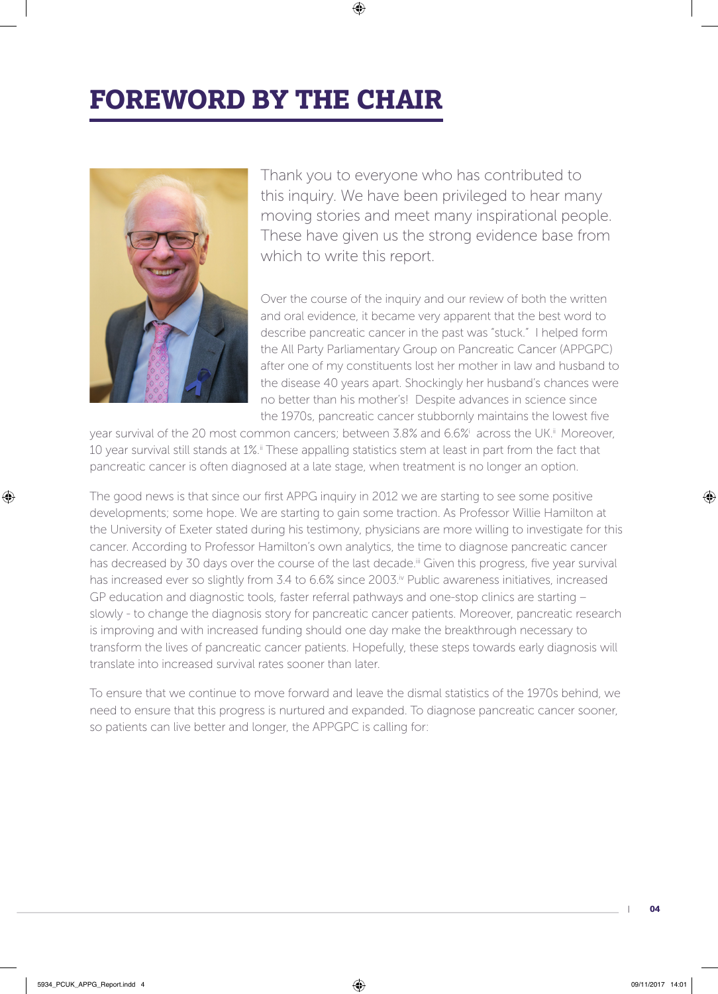### **FOREWORD BY THE CHAIR**



Thank you to everyone who has contributed to this inquiry. We have been privileged to hear many moving stories and meet many inspirational people. These have given us the strong evidence base from which to write this report.

Over the course of the inquiry and our review of both the written and oral evidence, it became very apparent that the best word to describe pancreatic cancer in the past was "stuck." I helped form the All Party Parliamentary Group on Pancreatic Cancer (APPGPC) after one of my constituents lost her mother in law and husband to the disease 40 years apart. Shockingly her husband's chances were no better than his mother's! Despite advances in science since the 1970s, pancreatic cancer stubbornly maintains the lowest five

year survival of the 20 most common cancers; between 3.8% and 6.6% across the UK.<sup>ii</sup> Moreover, 10 year survival still stands at 1%.ii These appalling statistics stem at least in part from the fact that pancreatic cancer is often diagnosed at a late stage, when treatment is no longer an option.

◈

The good news is that since our first APPG inquiry in 2012 we are starting to see some positive developments; some hope. We are starting to gain some traction. As Professor Willie Hamilton at the University of Exeter stated during his testimony, physicians are more willing to investigate for this cancer. According to Professor Hamilton's own analytics, the time to diagnose pancreatic cancer has decreased by 30 days over the course of the last decade.<sup>ii</sup> Given this progress, five year survival has increased ever so slightly from 3.4 to 6.6% since 2003.<sup>iv</sup> Public awareness initiatives, increased GP education and diagnostic tools, faster referral pathways and one-stop clinics are starting – slowly - to change the diagnosis story for pancreatic cancer patients. Moreover, pancreatic research is improving and with increased funding should one day make the breakthrough necessary to transform the lives of pancreatic cancer patients. Hopefully, these steps towards early diagnosis will translate into increased survival rates sooner than later.

To ensure that we continue to move forward and leave the dismal statistics of the 1970s behind, we need to ensure that this progress is nurtured and expanded. To diagnose pancreatic cancer sooner, so patients can live better and longer, the APPGPC is calling for:

⊕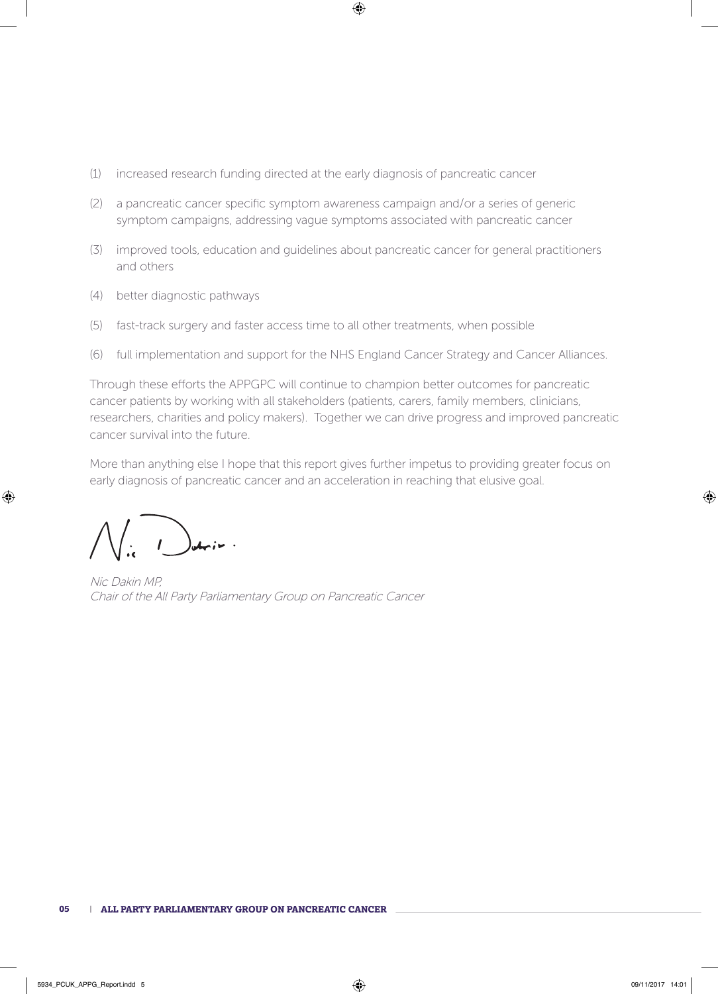- (1) increased research funding directed at the early diagnosis of pancreatic cancer
- (2) a pancreatic cancer specific symptom awareness campaign and/or a series of generic symptom campaigns, addressing vague symptoms associated with pancreatic cancer
- (3) improved tools, education and guidelines about pancreatic cancer for general practitioners and others

⊕

- (4) better diagnostic pathways
- (5) fast-track surgery and faster access time to all other treatments, when possible
- (6) full implementation and support for the NHS England Cancer Strategy and Cancer Alliances.

Through these efforts the APPGPC will continue to champion better outcomes for pancreatic cancer patients by working with all stakeholders (patients, carers, family members, clinicians, researchers, charities and policy makers). Together we can drive progress and improved pancreatic cancer survival into the future.

More than anything else I hope that this report gives further impetus to providing greater focus on early diagnosis of pancreatic cancer and an acceleration in reaching that elusive goal.

 $\int$  ) driv.

◈

Nic Dakin MP, Chair of the All Party Parliamentary Group on Pancreatic Cancer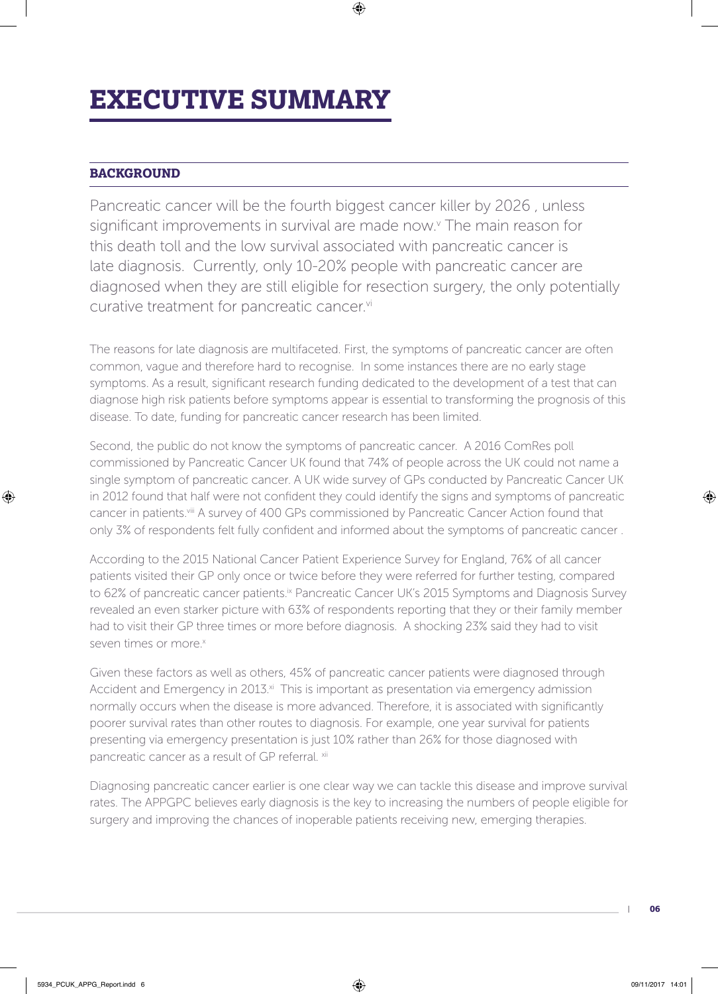### **EXECUTIVE SUMMARY**

#### **BACKGROUND**

Pancreatic cancer will be the fourth biggest cancer killer by 2026 , unless significant improvements in survival are made now.<sup>v</sup> The main reason for this death toll and the low survival associated with pancreatic cancer is late diagnosis. Currently, only 10-20% people with pancreatic cancer are diagnosed when they are still eligible for resection surgery, the only potentially curative treatment for pancreatic cancer.<sup>vi</sup>

⊕

The reasons for late diagnosis are multifaceted. First, the symptoms of pancreatic cancer are often common, vague and therefore hard to recognise. In some instances there are no early stage symptoms. As a result, significant research funding dedicated to the development of a test that can diagnose high risk patients before symptoms appear is essential to transforming the prognosis of this disease. To date, funding for pancreatic cancer research has been limited.

Second, the public do not know the symptoms of pancreatic cancer. A 2016 ComRes poll commissioned by Pancreatic Cancer UK found that 74% of people across the UK could not name a single symptom of pancreatic cancer. A UK wide survey of GPs conducted by Pancreatic Cancer UK in 2012 found that half were not confident they could identify the signs and symptoms of pancreatic cancer in patients.viii A survey of 400 GPs commissioned by Pancreatic Cancer Action found that only 3% of respondents felt fully confident and informed about the symptoms of pancreatic cancer .

According to the 2015 National Cancer Patient Experience Survey for England, 76% of all cancer patients visited their GP only once or twice before they were referred for further testing, compared to 62% of pancreatic cancer patients.<sup>ix</sup> Pancreatic Cancer UK's 2015 Symptoms and Diagnosis Survey revealed an even starker picture with 63% of respondents reporting that they or their family member had to visit their GP three times or more before diagnosis. A shocking 23% said they had to visit seven times or more.x

Given these factors as well as others, 45% of pancreatic cancer patients were diagnosed through Accident and Emergency in 2013.<sup>xi</sup> This is important as presentation via emergency admission normally occurs when the disease is more advanced. Therefore, it is associated with significantly poorer survival rates than other routes to diagnosis. For example, one year survival for patients presenting via emergency presentation is just 10% rather than 26% for those diagnosed with pancreatic cancer as a result of GP referral. xii

Diagnosing pancreatic cancer earlier is one clear way we can tackle this disease and improve survival rates. The APPGPC believes early diagnosis is the key to increasing the numbers of people eligible for surgery and improving the chances of inoperable patients receiving new, emerging therapies.

⊕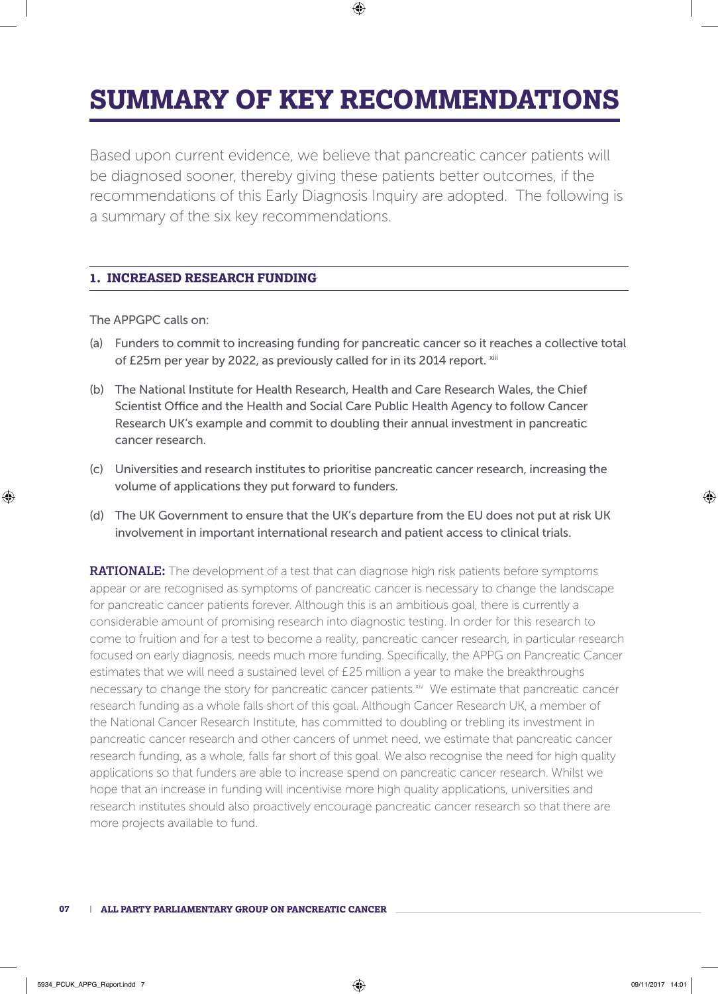### **SUMMARY OF KEY RECOMMENDATIONS**

⊕

Based upon current evidence, we believe that pancreatic cancer patients will be diagnosed sooner, thereby giving these patients better outcomes, if the recommendations of this Early Diagnosis Inquiry are adopted. The following is a summary of the six key recommendations.

#### **1. INCREASED RESEARCH FUNDING**

The APPGPC calls on:

◈

- (a) Funders to commit to increasing funding for pancreatic cancer so it reaches a collective total of £25m per year by 2022, as previously called for in its 2014 report. xiii
- (b) The National Institute for Health Research, Health and Care Research Wales, the Chief Scientist Office and the Health and Social Care Public Health Agency to follow Cancer Research UK's example and commit to doubling their annual investment in pancreatic cancer research.
- (c) Universities and research institutes to prioritise pancreatic cancer research, increasing the volume of applications they put forward to funders.
- (d) The UK Government to ensure that the UK's departure from the EU does not put at risk UK involvement in important international research and patient access to clinical trials.

**RATIONALE:** The development of a test that can diagnose high risk patients before symptoms appear or are recognised as symptoms of pancreatic cancer is necessary to change the landscape for pancreatic cancer patients forever. Although this is an ambitious goal, there is currently a considerable amount of promising research into diagnostic testing. In order for this research to come to fruition and for a test to become a reality, pancreatic cancer research, in particular research focused on early diagnosis, needs much more funding. Specifically, the APPG on Pancreatic Cancer estimates that we will need a sustained level of £25 million a year to make the breakthroughs necessary to change the story for pancreatic cancer patients.<sup>xiv</sup> We estimate that pancreatic cancer research funding as a whole falls short of this goal. Although Cancer Research UK, a member of the National Cancer Research Institute, has committed to doubling or trebling its investment in pancreatic cancer research and other cancers of unmet need, we estimate that pancreatic cancer research funding, as a whole, falls far short of this goal. We also recognise the need for high quality applications so that funders are able to increase spend on pancreatic cancer research. Whilst we hope that an increase in funding will incentivise more high quality applications, universities and research institutes should also proactively encourage pancreatic cancer research so that there are more projects available to fund.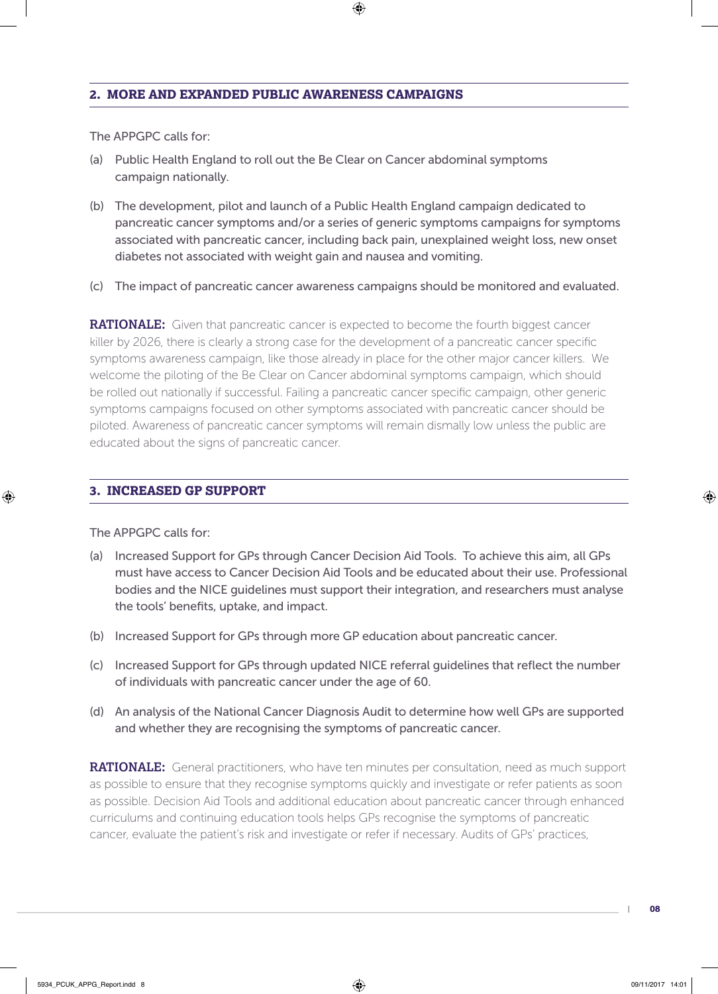#### **2. MORE AND EXPANDED PUBLIC AWARENESS CAMPAIGNS**

The APPGPC calls for:

- (a) Public Health England to roll out the Be Clear on Cancer abdominal symptoms campaign nationally.
- (b) The development, pilot and launch of a Public Health England campaign dedicated to pancreatic cancer symptoms and/or a series of generic symptoms campaigns for symptoms associated with pancreatic cancer, including back pain, unexplained weight loss, new onset diabetes not associated with weight gain and nausea and vomiting.

⊕

(c) The impact of pancreatic cancer awareness campaigns should be monitored and evaluated.

**RATIONALE:** Given that pancreatic cancer is expected to become the fourth biggest cancer killer by 2026, there is clearly a strong case for the development of a pancreatic cancer specific symptoms awareness campaign, like those already in place for the other major cancer killers. We welcome the piloting of the Be Clear on Cancer abdominal symptoms campaign, which should be rolled out nationally if successful. Failing a pancreatic cancer specific campaign, other generic symptoms campaigns focused on other symptoms associated with pancreatic cancer should be piloted. Awareness of pancreatic cancer symptoms will remain dismally low unless the public are educated about the signs of pancreatic cancer.

#### **3. INCREASED GP SUPPORT**

The APPGPC calls for:

◈

- (a) Increased Support for GPs through Cancer Decision Aid Tools. To achieve this aim, all GPs must have access to Cancer Decision Aid Tools and be educated about their use. Professional bodies and the NICE guidelines must support their integration, and researchers must analyse the tools' benefits, uptake, and impact.
- (b) Increased Support for GPs through more GP education about pancreatic cancer.
- (c) Increased Support for GPs through updated NICE referral guidelines that reflect the number of individuals with pancreatic cancer under the age of 60.
- (d) An analysis of the National Cancer Diagnosis Audit to determine how well GPs are supported and whether they are recognising the symptoms of pancreatic cancer.

**RATIONALE:** General practitioners, who have ten minutes per consultation, need as much support as possible to ensure that they recognise symptoms quickly and investigate or refer patients as soon as possible. Decision Aid Tools and additional education about pancreatic cancer through enhanced curriculums and continuing education tools helps GPs recognise the symptoms of pancreatic cancer, evaluate the patient's risk and investigate or refer if necessary. Audits of GPs' practices,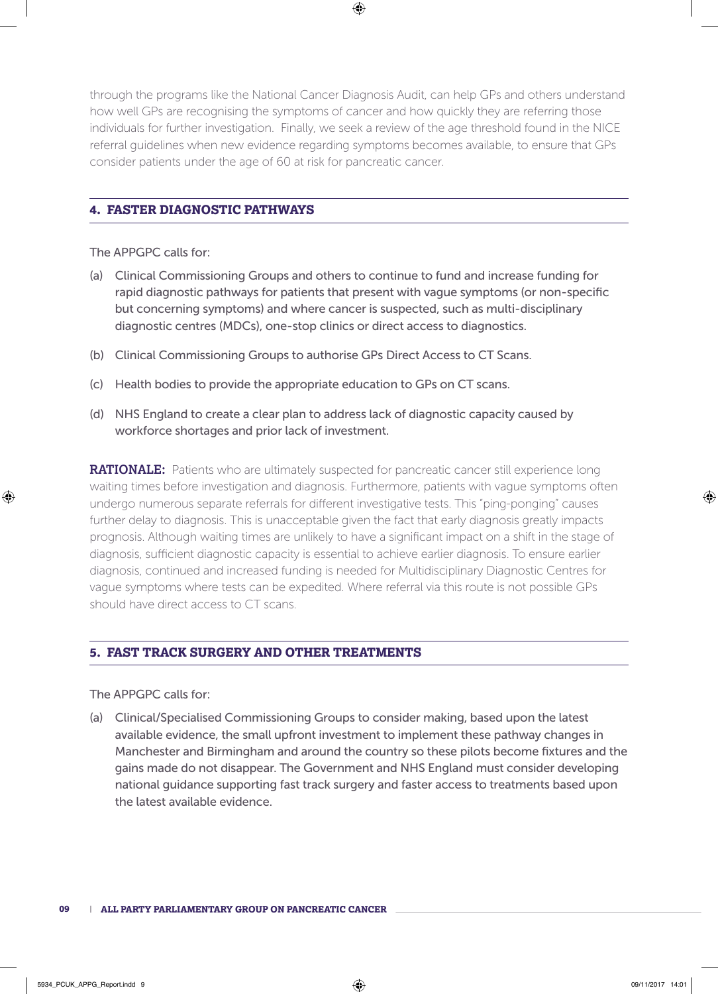through the programs like the National Cancer Diagnosis Audit, can help GPs and others understand how well GPs are recognising the symptoms of cancer and how quickly they are referring those individuals for further investigation. Finally, we seek a review of the age threshold found in the NICE referral guidelines when new evidence regarding symptoms becomes available, to ensure that GPs consider patients under the age of 60 at risk for pancreatic cancer.

⊕

#### **4. FASTER DIAGNOSTIC PATHWAYS**

The APPGPC calls for:

- (a) Clinical Commissioning Groups and others to continue to fund and increase funding for rapid diagnostic pathways for patients that present with vague symptoms (or non-specific but concerning symptoms) and where cancer is suspected, such as multi-disciplinary diagnostic centres (MDCs), one-stop clinics or direct access to diagnostics.
- (b) Clinical Commissioning Groups to authorise GPs Direct Access to CT Scans.
- (c) Health bodies to provide the appropriate education to GPs on CT scans.
- (d) NHS England to create a clear plan to address lack of diagnostic capacity caused by workforce shortages and prior lack of investment.

**RATIONALE:** Patients who are ultimately suspected for pancreatic cancer still experience long waiting times before investigation and diagnosis. Furthermore, patients with vague symptoms often undergo numerous separate referrals for different investigative tests. This "ping-ponging" causes further delay to diagnosis. This is unacceptable given the fact that early diagnosis greatly impacts prognosis. Although waiting times are unlikely to have a significant impact on a shift in the stage of diagnosis, sufficient diagnostic capacity is essential to achieve earlier diagnosis. To ensure earlier diagnosis, continued and increased funding is needed for Multidisciplinary Diagnostic Centres for vague symptoms where tests can be expedited. Where referral via this route is not possible GPs should have direct access to CT scans.

#### **5. FAST TRACK SURGERY AND OTHER TREATMENTS**

The APPGPC calls for:

(a) Clinical/Specialised Commissioning Groups to consider making, based upon the latest available evidence, the small upfront investment to implement these pathway changes in Manchester and Birmingham and around the country so these pilots become fixtures and the gains made do not disappear. The Government and NHS England must consider developing national guidance supporting fast track surgery and faster access to treatments based upon the latest available evidence.

◈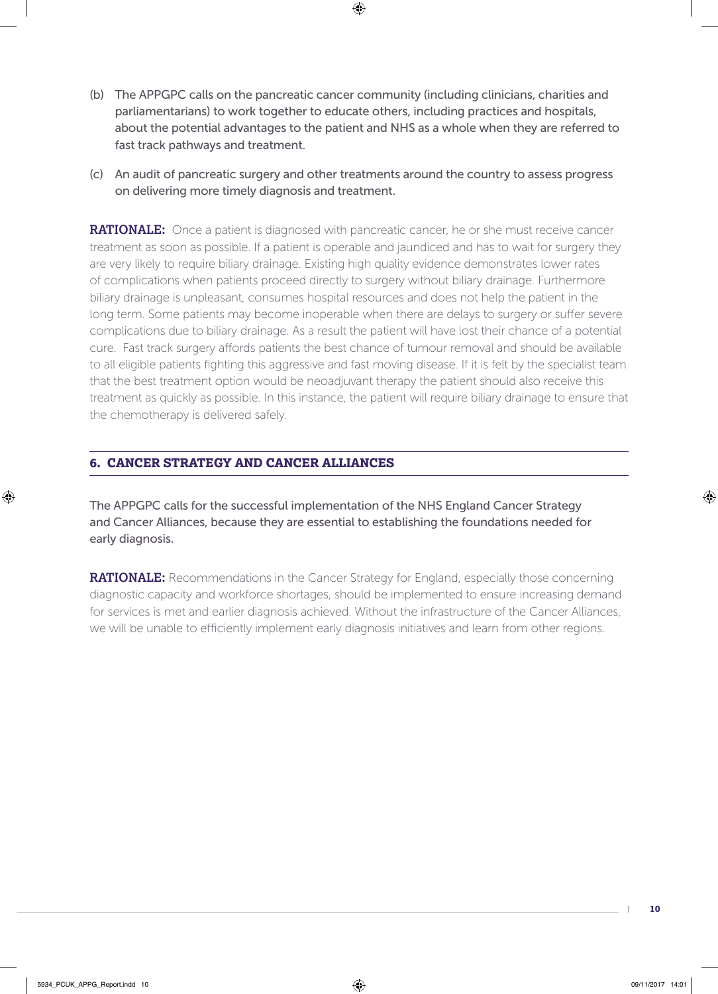(b) The APPGPC calls on the pancreatic cancer community (including clinicians, charities and parliamentarians) to work together to educate others, including practices and hospitals, about the potential advantages to the patient and NHS as a whole when they are referred to fast track pathways and treatment.

⊕

(c) An audit of pancreatic surgery and other treatments around the country to assess progress on delivering more timely diagnosis and treatment.

**RATIONALE:** Once a patient is diagnosed with pancreatic cancer, he or she must receive cancer treatment as soon as possible. If a patient is operable and jaundiced and has to wait for surgery they are very likely to require biliary drainage. Existing high quality evidence demonstrates lower rates of complications when patients proceed directly to surgery without biliary drainage. Furthermore biliary drainage is unpleasant, consumes hospital resources and does not help the patient in the long term. Some patients may become inoperable when there are delays to surgery or suffer severe complications due to biliary drainage. As a result the patient will have lost their chance of a potential cure. Fast track surgery affords patients the best chance of tumour removal and should be available to all eligible patients fighting this aggressive and fast moving disease. If it is felt by the specialist team that the best treatment option would be neoadjuvant therapy the patient should also receive this treatment as quickly as possible. In this instance, the patient will require biliary drainage to ensure that the chemotherapy is delivered safely.

#### **6. CANCER STRATEGY AND CANCER ALLIANCES**

The APPGPC calls for the successful implementation of the NHS England Cancer Strategy and Cancer Alliances, because they are essential to establishing the foundations needed for early diagnosis.

**RATIONALE:** Recommendations in the Cancer Strategy for England, especially those concerning diagnostic capacity and workforce shortages, should be implemented to ensure increasing demand for services is met and earlier diagnosis achieved. Without the infrastructure of the Cancer Alliances, we will be unable to efficiently implement early diagnosis initiatives and learn from other regions.

◈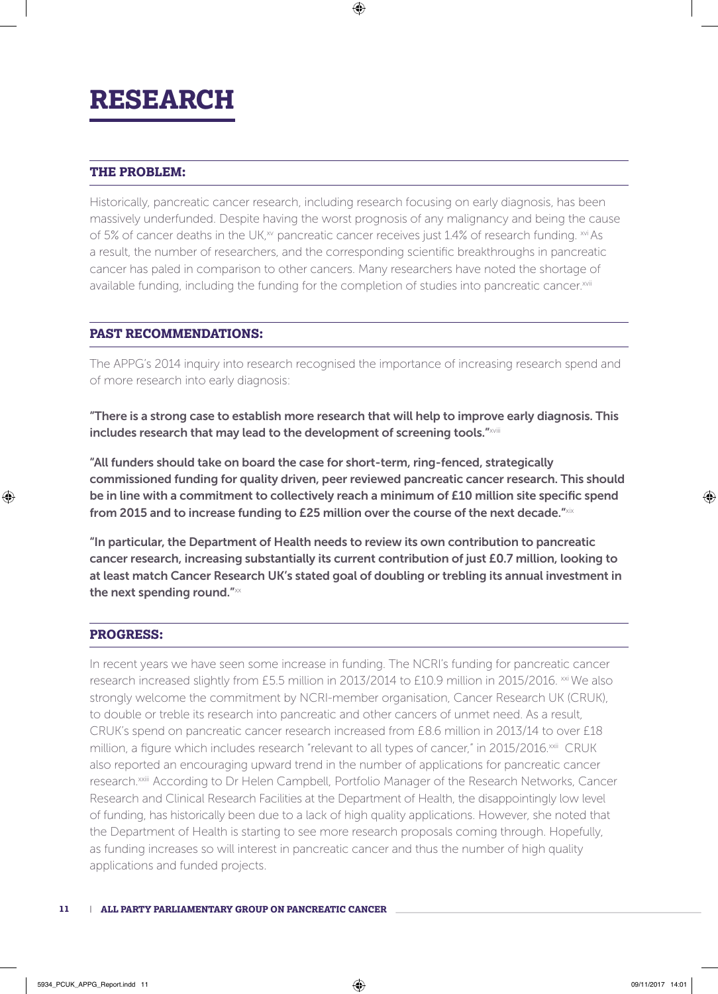### **RESEARCH**

#### **THE PROBLEM:**

Historically, pancreatic cancer research, including research focusing on early diagnosis, has been massively underfunded. Despite having the worst prognosis of any malignancy and being the cause of 5% of cancer deaths in the UK,<sup>xv</sup> pancreatic cancer receives just 1.4% of research funding. xvi As a result, the number of researchers, and the corresponding scientific breakthroughs in pancreatic cancer has paled in comparison to other cancers. Many researchers have noted the shortage of available funding, including the funding for the completion of studies into pancreatic cancer.<sup>xvii</sup>

⊕

#### **PAST RECOMMENDATIONS:**

The APPG's 2014 inquiry into research recognised the importance of increasing research spend and of more research into early diagnosis:

"There is a strong case to establish more research that will help to improve early diagnosis. This includes research that may lead to the development of screening tools." XAWII

"All funders should take on board the case for short-term, ring-fenced, strategically commissioned funding for quality driven, peer reviewed pancreatic cancer research. This should be in line with a commitment to collectively reach a minimum of £10 million site specific spend from 2015 and to increase funding to £25 million over the course of the next decade." xix

"In particular, the Department of Health needs to review its own contribution to pancreatic cancer research, increasing substantially its current contribution of just £0.7 million, looking to at least match Cancer Research UK's stated goal of doubling or trebling its annual investment in the next spending round."xx

#### **PROGRESS:**

◈

In recent years we have seen some increase in funding. The NCRI's funding for pancreatic cancer research increased slightly from £5.5 million in 2013/2014 to £10.9 million in 2015/2016. xxi We also strongly welcome the commitment by NCRI-member organisation, Cancer Research UK (CRUK), to double or treble its research into pancreatic and other cancers of unmet need. As a result, CRUK's spend on pancreatic cancer research increased from £8.6 million in 2013/14 to over £18 million, a figure which includes research "relevant to all types of cancer," in 2015/2016.<sup>xxii</sup> CRUK also reported an encouraging upward trend in the number of applications for pancreatic cancer research.xxiii According to Dr Helen Campbell, Portfolio Manager of the Research Networks, Cancer Research and Clinical Research Facilities at the Department of Health, the disappointingly low level of funding, has historically been due to a lack of high quality applications. However, she noted that the Department of Health is starting to see more research proposals coming through. Hopefully, as funding increases so will interest in pancreatic cancer and thus the number of high quality applications and funded projects.

#### **11** | **ALL PARTY PARLIAMENTARY GROUP ON PANCREATIC CANCER** |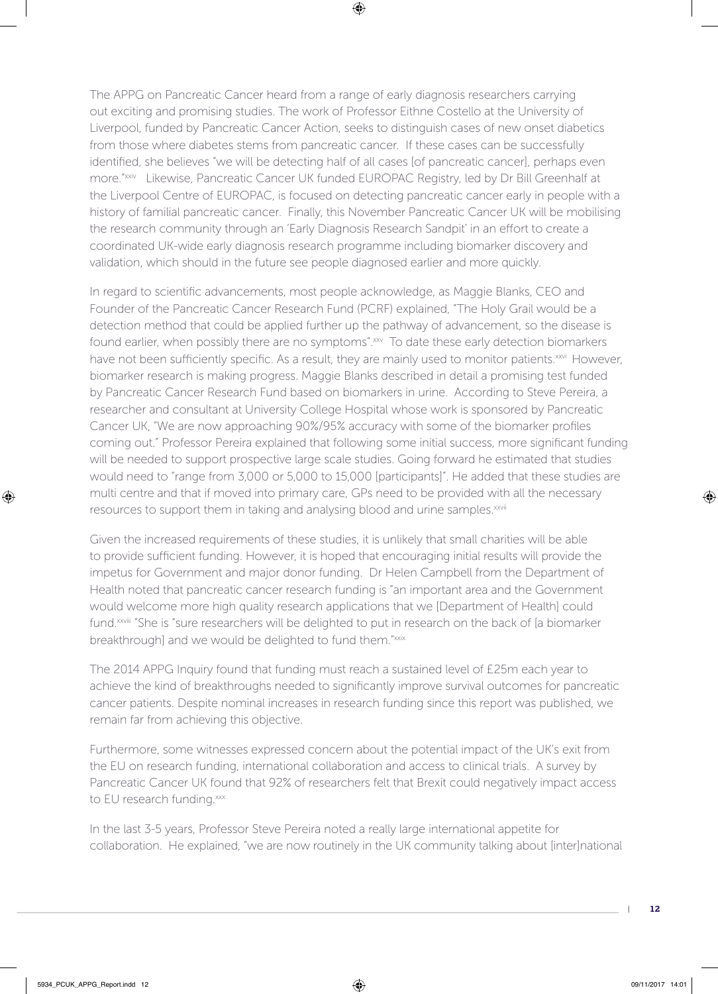The APPG on Pancreatic Cancer heard from a range of early diagnosis researchers carrying out exciting and promising studies. The work of Professor Eithne Costello at the University of Liverpool, funded by Pancreatic Cancer Action, seeks to distinguish cases of new onset diabetics from those where diabetes stems from pancreatic cancer. If these cases can be successfully identified, she believes "we will be detecting half of all cases [of pancreatic cancer], perhaps even more."xxiv Likewise, Pancreatic Cancer UK funded EUROPAC Registry, led by Dr Bill Greenhalf at the Liverpool Centre of EUROPAC, is focused on detecting pancreatic cancer early in people with a history of familial pancreatic cancer. Finally, this November Pancreatic Cancer UK will be mobilising the research community through an 'Early Diagnosis Research Sandpit' in an effort to create a coordinated UK-wide early diagnosis research programme including biomarker discovery and validation, which should in the future see people diagnosed earlier and more quickly.

⊕

In regard to scientific advancements, most people acknowledge, as Maggie Blanks, CEO and Founder of the Pancreatic Cancer Research Fund (PCRF) explained, "The Holy Grail would be a detection method that could be applied further up the pathway of advancement, so the disease is found earlier, when possibly there are no symptoms".xxv To date these early detection biomarkers have not been sufficiently specific. As a result, they are mainly used to monitor patients.<sup>xxvi</sup> However, biomarker research is making progress. Maggie Blanks described in detail a promising test funded by Pancreatic Cancer Research Fund based on biomarkers in urine. According to Steve Pereira, a researcher and consultant at University College Hospital whose work is sponsored by Pancreatic Cancer UK, "We are now approaching 90%/95% accuracy with some of the biomarker profiles coming out." Professor Pereira explained that following some initial success, more significant funding will be needed to support prospective large scale studies. Going forward he estimated that studies would need to "range from 3,000 or 5,000 to 15,000 [participants]". He added that these studies are multi centre and that if moved into primary care, GPs need to be provided with all the necessary resources to support them in taking and analysing blood and urine samples.<sup>xxvii</sup>

Given the increased requirements of these studies, it is unlikely that small charities will be able to provide sufficient funding. However, it is hoped that encouraging initial results will provide the impetus for Government and major donor funding. Dr Helen Campbell from the Department of Health noted that pancreatic cancer research funding is "an important area and the Government would welcome more high quality research applications that we [Department of Health] could fund.<sup>xxviii</sup> "She is "sure researchers will be delighted to put in research on the back of [a biomarker breakthrough] and we would be delighted to fund them."xxix

The 2014 APPG Inquiry found that funding must reach a sustained level of £25m each year to achieve the kind of breakthroughs needed to significantly improve survival outcomes for pancreatic cancer patients. Despite nominal increases in research funding since this report was published, we remain far from achieving this objective.

Furthermore, some witnesses expressed concern about the potential impact of the UK's exit from the EU on research funding, international collaboration and access to clinical trials. A survey by Pancreatic Cancer UK found that 92% of researchers felt that Brexit could negatively impact access to EU research funding.xxx

In the last 3-5 years, Professor Steve Pereira noted a really large international appetite for collaboration. He explained, "we are now routinely in the UK community talking about [inter]national ⊕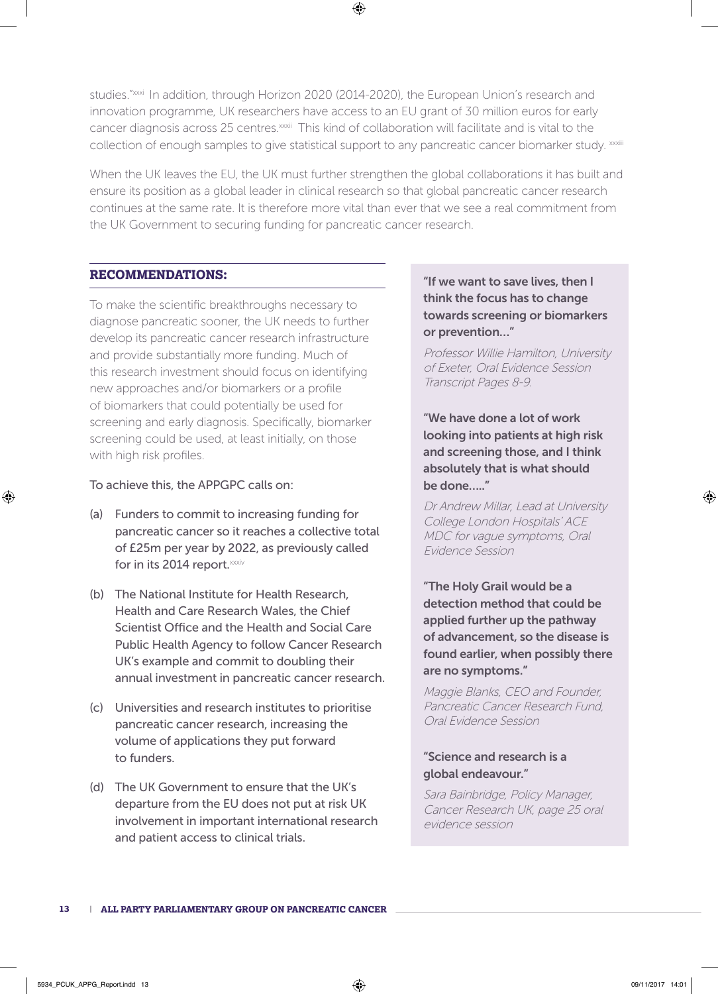studies."<sup>xxxi</sup> In addition, through Horizon 2020 (2014-2020), the European Union's research and innovation programme, UK researchers have access to an EU grant of 30 million euros for early cancer diagnosis across 25 centres.<sup>xxxii</sup> This kind of collaboration will facilitate and is vital to the collection of enough samples to give statistical support to any pancreatic cancer biomarker study. xxxiii

⊕

When the UK leaves the EU, the UK must further strengthen the global collaborations it has built and ensure its position as a global leader in clinical research so that global pancreatic cancer research continues at the same rate. It is therefore more vital than ever that we see a real commitment from the UK Government to securing funding for pancreatic cancer research.

#### **RECOMMENDATIONS:**

To make the scientific breakthroughs necessary to diagnose pancreatic sooner, the UK needs to further develop its pancreatic cancer research infrastructure and provide substantially more funding. Much of this research investment should focus on identifying new approaches and/or biomarkers or a profile of biomarkers that could potentially be used for screening and early diagnosis. Specifically, biomarker screening could be used, at least initially, on those with high risk profiles.

#### To achieve this, the APPGPC calls on:

- (a) Funders to commit to increasing funding for pancreatic cancer so it reaches a collective total of £25m per year by 2022, as previously called for in its 2014 report. xxxiv
- (b) The National Institute for Health Research, Health and Care Research Wales, the Chief Scientist Office and the Health and Social Care Public Health Agency to follow Cancer Research UK's example and commit to doubling their annual investment in pancreatic cancer research.
- (c) Universities and research institutes to prioritise pancreatic cancer research, increasing the volume of applications they put forward to funders.
- (d) The UK Government to ensure that the UK's departure from the EU does not put at risk UK involvement in important international research and patient access to clinical trials.

#### "If we want to save lives, then I think the focus has to change towards screening or biomarkers or prevention…"

Professor Willie Hamilton, University of Exeter, Oral Evidence Session Transcript Pages 8-9.

"We have done a lot of work looking into patients at high risk and screening those, and I think absolutely that is what should be done….."

Dr Andrew Millar, Lead at University College London Hospitals' ACE MDC for vague symptoms, Oral Evidence Session

"The Holy Grail would be a detection method that could be applied further up the pathway of advancement, so the disease is found earlier, when possibly there are no symptoms."

Maggie Blanks, CEO and Founder, Pancreatic Cancer Research Fund, Oral Evidence Session

#### "Science and research is a global endeavour."

Sara Bainbridge, Policy Manager, Cancer Research UK, page 25 oral evidence session

⊕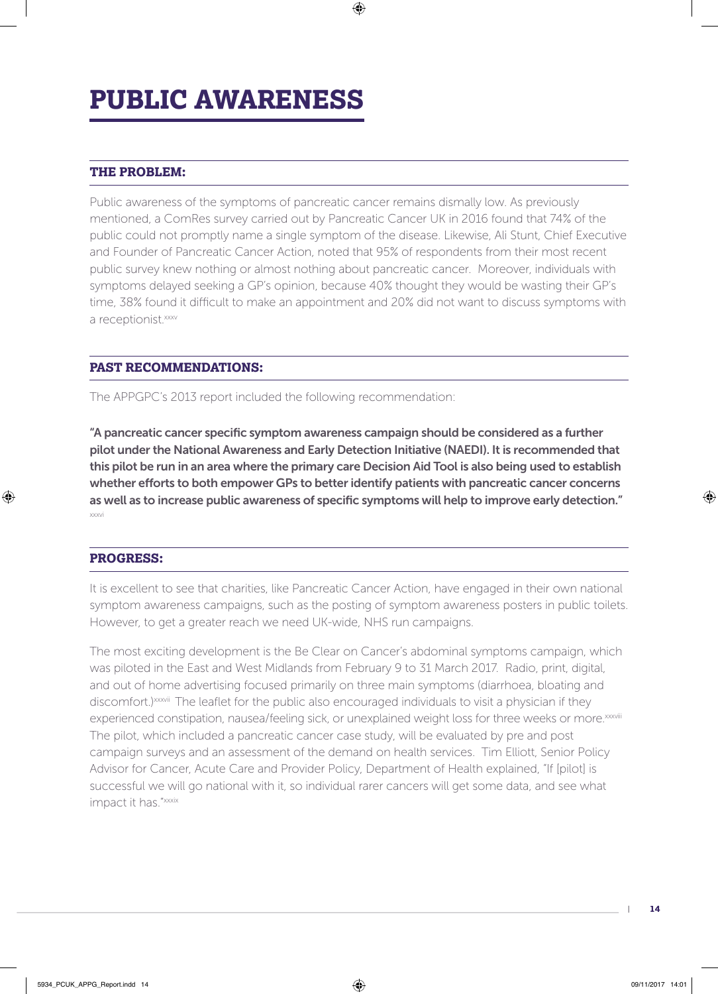### **PUBLIC AWARENESS**

#### **THE PROBLEM:**

Public awareness of the symptoms of pancreatic cancer remains dismally low. As previously mentioned, a ComRes survey carried out by Pancreatic Cancer UK in 2016 found that 74% of the public could not promptly name a single symptom of the disease. Likewise, Ali Stunt, Chief Executive and Founder of Pancreatic Cancer Action, noted that 95% of respondents from their most recent public survey knew nothing or almost nothing about pancreatic cancer. Moreover, individuals with symptoms delayed seeking a GP's opinion, because 40% thought they would be wasting their GP's time, 38% found it difficult to make an appointment and 20% did not want to discuss symptoms with a receptionist.xxxv

⊕

#### **PAST RECOMMENDATIONS:**

The APPGPC's 2013 report included the following recommendation:

"A pancreatic cancer specific symptom awareness campaign should be considered as a further pilot under the National Awareness and Early Detection Initiative (NAEDI). It is recommended that this pilot be run in an area where the primary care Decision Aid Tool is also being used to establish whether efforts to both empower GPs to better identify patients with pancreatic cancer concerns as well as to increase public awareness of specific symptoms will help to improve early detection." xxxvi

#### **PROGRESS:**

◈

It is excellent to see that charities, like Pancreatic Cancer Action, have engaged in their own national symptom awareness campaigns, such as the posting of symptom awareness posters in public toilets. However, to get a greater reach we need UK-wide, NHS run campaigns.

The most exciting development is the Be Clear on Cancer's abdominal symptoms campaign, which was piloted in the East and West Midlands from February 9 to 31 March 2017. Radio, print, digital, and out of home advertising focused primarily on three main symptoms (diarrhoea, bloating and discomfort.)<sup>xxxvii</sup> The leaflet for the public also encouraged individuals to visit a physician if they experienced constipation, nausea/feeling sick, or unexplained weight loss for three weeks or more.<sup>xxxviii</sup> The pilot, which included a pancreatic cancer case study, will be evaluated by pre and post campaign surveys and an assessment of the demand on health services. Tim Elliott, Senior Policy Advisor for Cancer, Acute Care and Provider Policy, Department of Health explained, "If [pilot] is successful we will go national with it, so individual rarer cancers will get some data, and see what impact it has."xxxix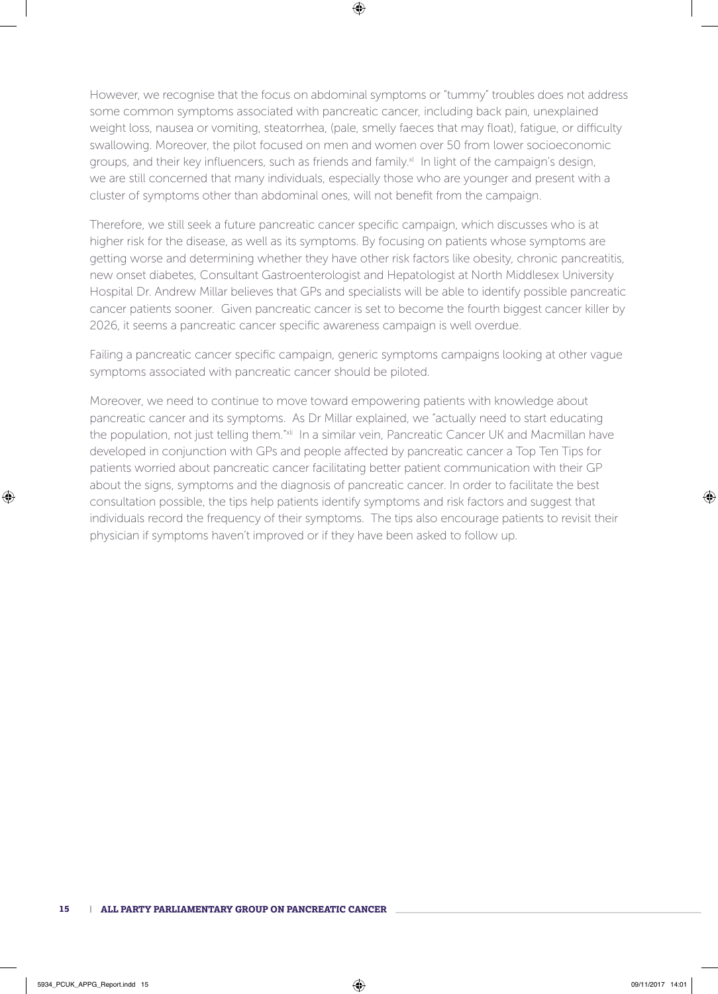However, we recognise that the focus on abdominal symptoms or "tummy" troubles does not address some common symptoms associated with pancreatic cancer, including back pain, unexplained weight loss, nausea or vomiting, steatorrhea, (pale, smelly faeces that may float), fatigue, or difficulty swallowing. Moreover, the pilot focused on men and women over 50 from lower socioeconomic groups, and their key influencers, such as friends and family.<sup>xl</sup> In light of the campaign's design, we are still concerned that many individuals, especially those who are younger and present with a cluster of symptoms other than abdominal ones, will not benefit from the campaign.

⊕

Therefore, we still seek a future pancreatic cancer specific campaign, which discusses who is at higher risk for the disease, as well as its symptoms. By focusing on patients whose symptoms are getting worse and determining whether they have other risk factors like obesity, chronic pancreatitis, new onset diabetes, Consultant Gastroenterologist and Hepatologist at North Middlesex University Hospital Dr. Andrew Millar believes that GPs and specialists will be able to identify possible pancreatic cancer patients sooner. Given pancreatic cancer is set to become the fourth biggest cancer killer by 2026, it seems a pancreatic cancer specific awareness campaign is well overdue.

Failing a pancreatic cancer specific campaign, generic symptoms campaigns looking at other vague symptoms associated with pancreatic cancer should be piloted.

Moreover, we need to continue to move toward empowering patients with knowledge about pancreatic cancer and its symptoms. As Dr Millar explained, we "actually need to start educating the population, not just telling them."xli In a similar vein, Pancreatic Cancer UK and Macmillan have developed in conjunction with GPs and people affected by pancreatic cancer a Top Ten Tips for patients worried about pancreatic cancer facilitating better patient communication with their GP about the signs, symptoms and the diagnosis of pancreatic cancer. In order to facilitate the best consultation possible, the tips help patients identify symptoms and risk factors and suggest that individuals record the frequency of their symptoms. The tips also encourage patients to revisit their physician if symptoms haven't improved or if they have been asked to follow up.

#### **15** | **ALL PARTY PARLIAMENTARY GROUP ON PANCREATIC CANCER** |

◈

⊕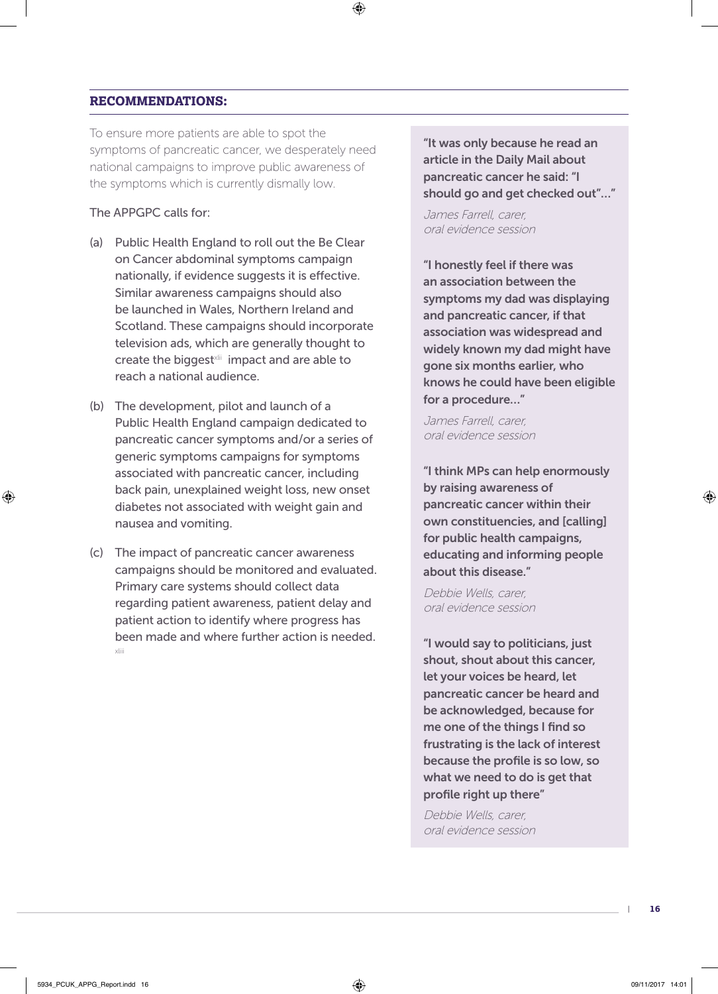#### **RECOMMENDATIONS:**

To ensure more patients are able to spot the symptoms of pancreatic cancer, we desperately need national campaigns to improve public awareness of the symptoms which is currently dismally low.

⊕

#### The APPGPC calls for:

- (a) Public Health England to roll out the Be Clear on Cancer abdominal symptoms campaign nationally, if evidence suggests it is effective. Similar awareness campaigns should also be launched in Wales, Northern Ireland and Scotland. These campaigns should incorporate television ads, which are generally thought to create the biggest<sup>xlii</sup> impact and are able to reach a national audience.
- (b) The development, pilot and launch of a Public Health England campaign dedicated to pancreatic cancer symptoms and/or a series of generic symptoms campaigns for symptoms associated with pancreatic cancer, including back pain, unexplained weight loss, new onset diabetes not associated with weight gain and nausea and vomiting.
- (c) The impact of pancreatic cancer awareness campaigns should be monitored and evaluated. Primary care systems should collect data regarding patient awareness, patient delay and patient action to identify where progress has been made and where further action is needed. xliii

"It was only because he read an article in the Daily Mail about pancreatic cancer he said: "I should go and get checked out"…"

James Farrell, carer, oral evidence session

"I honestly feel if there was an association between the symptoms my dad was displaying and pancreatic cancer, if that association was widespread and widely known my dad might have gone six months earlier, who knows he could have been eligible for a procedure…"

James Farrell, carer, oral evidence session

"I think MPs can help enormously by raising awareness of pancreatic cancer within their own constituencies, and [calling] for public health campaigns, educating and informing people about this disease."

Debbie Wells, carer, oral evidence session

"I would say to politicians, just shout, shout about this cancer, let your voices be heard, let pancreatic cancer be heard and be acknowledged, because for me one of the things I find so frustrating is the lack of interest because the profile is so low, so what we need to do is get that profile right up there"

Debbie Wells, carer, oral evidence session ◈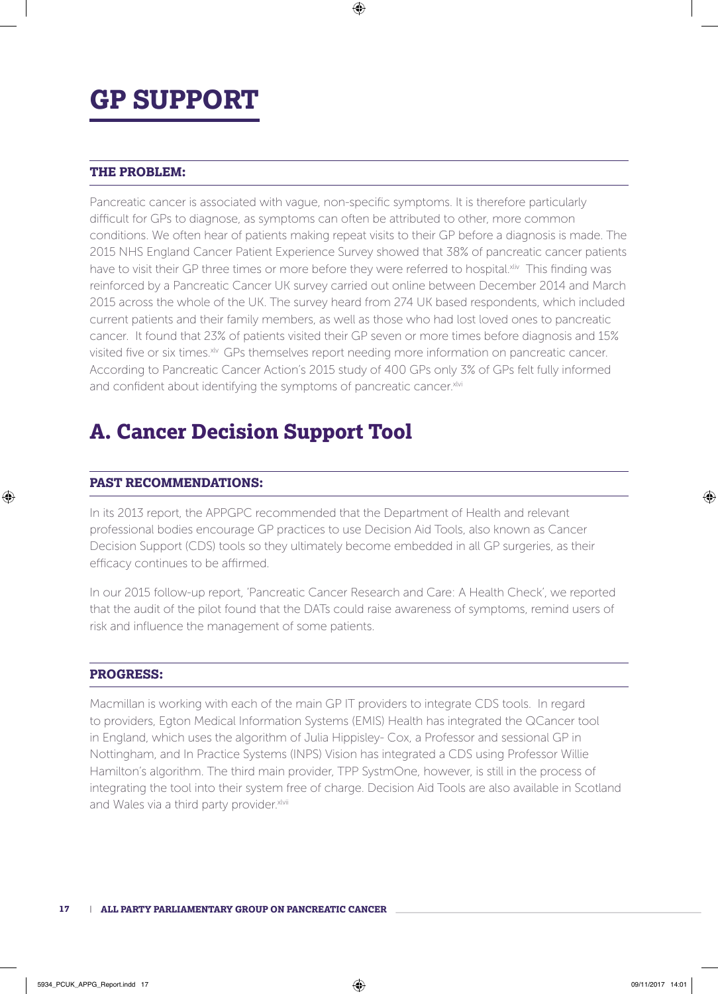### **GP SUPPORT**

#### **THE PROBLEM:**

Pancreatic cancer is associated with vague, non-specific symptoms. It is therefore particularly difficult for GPs to diagnose, as symptoms can often be attributed to other, more common conditions. We often hear of patients making repeat visits to their GP before a diagnosis is made. The 2015 NHS England Cancer Patient Experience Survey showed that 38% of pancreatic cancer patients have to visit their GP three times or more before they were referred to hospital. Xily This finding was reinforced by a Pancreatic Cancer UK survey carried out online between December 2014 and March 2015 across the whole of the UK. The survey heard from 274 UK based respondents, which included current patients and their family members, as well as those who had lost loved ones to pancreatic cancer. It found that 23% of patients visited their GP seven or more times before diagnosis and 15% visited five or six times.<sup>xlv</sup> GPs themselves report needing more information on pancreatic cancer. According to Pancreatic Cancer Action's 2015 study of 400 GPs only 3% of GPs felt fully informed and confident about identifying the symptoms of pancreatic cancer.<sup>xlvi</sup>

⊕

### **A. Cancer Decision Support Tool**

#### **PAST RECOMMENDATIONS:**

In its 2013 report, the APPGPC recommended that the Department of Health and relevant professional bodies encourage GP practices to use Decision Aid Tools, also known as Cancer Decision Support (CDS) tools so they ultimately become embedded in all GP surgeries, as their efficacy continues to be affirmed.

In our 2015 follow-up report, 'Pancreatic Cancer Research and Care: A Health Check', we reported that the audit of the pilot found that the DATs could raise awareness of symptoms, remind users of risk and influence the management of some patients.

#### **PROGRESS:**

◈

Macmillan is working with each of the main GP IT providers to integrate CDS tools. In regard to providers, Egton Medical Information Systems (EMIS) Health has integrated the QCancer tool in England, which uses the algorithm of Julia Hippisley- Cox, a Professor and sessional GP in Nottingham, and In Practice Systems (INPS) Vision has integrated a CDS using Professor Willie Hamilton's algorithm. The third main provider, TPP SystmOne, however, is still in the process of integrating the tool into their system free of charge. Decision Aid Tools are also available in Scotland and Wales via a third party provider. xlvii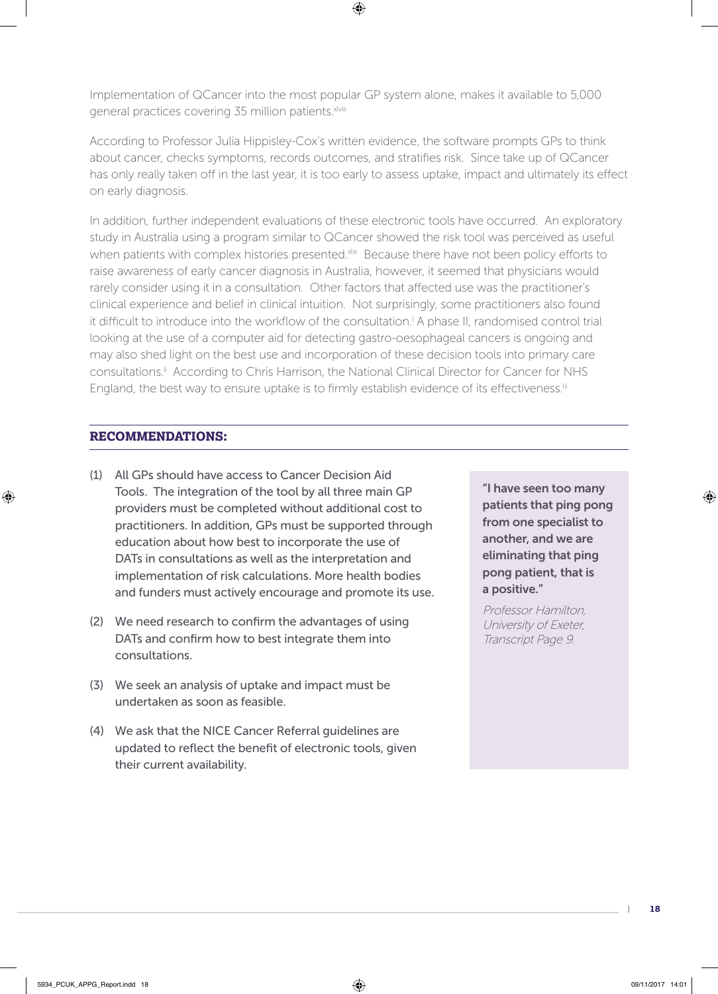Implementation of QCancer into the most popular GP system alone, makes it available to 5,000 general practices covering 35 million patients. xlviii

⊕

According to Professor Julia Hippisley-Cox's written evidence, the software prompts GPs to think about cancer, checks symptoms, records outcomes, and stratifies risk. Since take up of QCancer has only really taken off in the last year, it is too early to assess uptake, impact and ultimately its effect on early diagnosis.

In addition, further independent evaluations of these electronic tools have occurred. An exploratory study in Australia using a program similar to QCancer showed the risk tool was perceived as useful when patients with complex histories presented. XIIX Because there have not been policy efforts to raise awareness of early cancer diagnosis in Australia, however, it seemed that physicians would rarely consider using it in a consultation. Other factors that affected use was the practitioner's clinical experience and belief in clinical intuition. Not surprisingly, some practitioners also found it difficult to introduce into the workflow of the consultation.<sup>1</sup> A phase II, randomised control trial looking at the use of a computer aid for detecting gastro-oesophageal cancers is ongoing and may also shed light on the best use and incorporation of these decision tools into primary care consultations.<sup>II</sup> According to Chris Harrison, the National Clinical Director for Cancer for NHS England, the best way to ensure uptake is to firmly establish evidence of its effectiveness.<sup>III</sup>

#### **RECOMMENDATIONS:**

◈

- (1) All GPs should have access to Cancer Decision Aid Tools. The integration of the tool by all three main GP providers must be completed without additional cost to practitioners. In addition, GPs must be supported through education about how best to incorporate the use of DATs in consultations as well as the interpretation and implementation of risk calculations. More health bodies and funders must actively encourage and promote its use.
- (2) We need research to confirm the advantages of using DATs and confirm how to best integrate them into consultations.
- (3) We seek an analysis of uptake and impact must be undertaken as soon as feasible.
- (4) We ask that the NICE Cancer Referral guidelines are updated to reflect the benefit of electronic tools, given their current availability.

"I have seen too many patients that ping pong from one specialist to another, and we are eliminating that ping pong patient, that is a positive."

Professor Hamilton, University of Exeter, Transcript Page 9.

| **ALL PARTY PARLIAMENTARY GROUP ON PANCREATIC CANCER** | **18**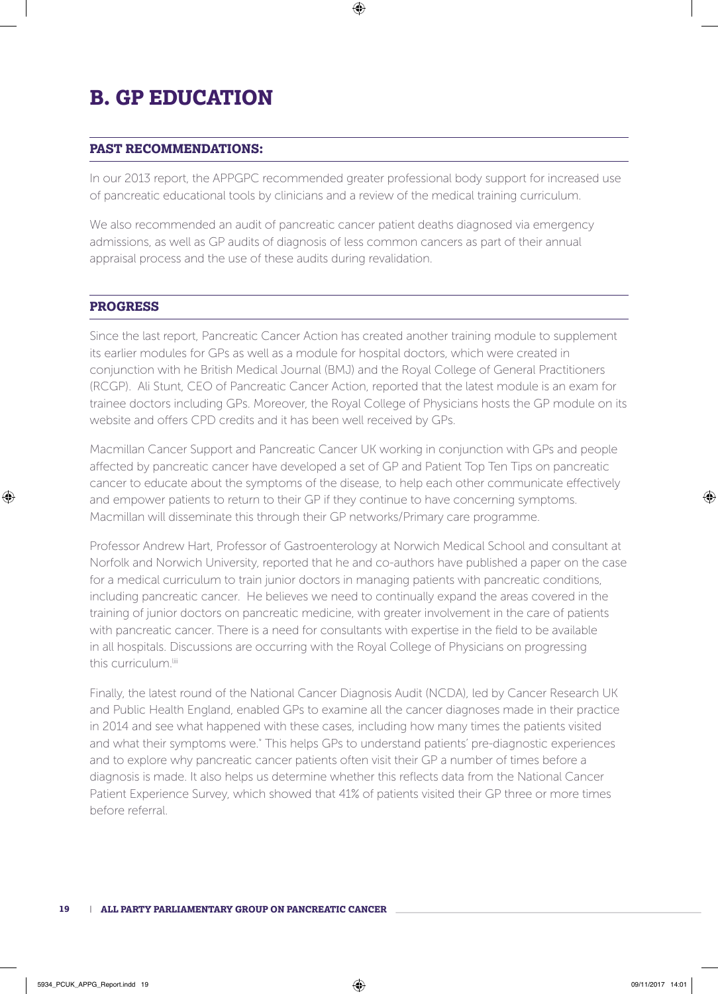### **B. GP EDUCATION**

#### **PAST RECOMMENDATIONS:**

In our 2013 report, the APPGPC recommended greater professional body support for increased use of pancreatic educational tools by clinicians and a review of the medical training curriculum.

⊕

We also recommended an audit of pancreatic cancer patient deaths diagnosed via emergency admissions, as well as GP audits of diagnosis of less common cancers as part of their annual appraisal process and the use of these audits during revalidation.

#### **PROGRESS**

◈

Since the last report, Pancreatic Cancer Action has created another training module to supplement its earlier modules for GPs as well as a module for hospital doctors, which were created in conjunction with he British Medical Journal (BMJ) and the Royal College of General Practitioners (RCGP). Ali Stunt, CEO of Pancreatic Cancer Action, reported that the latest module is an exam for trainee doctors including GPs. Moreover, the Royal College of Physicians hosts the GP module on its website and offers CPD credits and it has been well received by GPs.

Macmillan Cancer Support and Pancreatic Cancer UK working in conjunction with GPs and people affected by pancreatic cancer have developed a set of GP and Patient Top Ten Tips on pancreatic cancer to educate about the symptoms of the disease, to help each other communicate effectively and empower patients to return to their GP if they continue to have concerning symptoms. Macmillan will disseminate this through their GP networks/Primary care programme.

Professor Andrew Hart, Professor of Gastroenterology at Norwich Medical School and consultant at Norfolk and Norwich University, reported that he and co-authors have published a paper on the case for a medical curriculum to train junior doctors in managing patients with pancreatic conditions, including pancreatic cancer. He believes we need to continually expand the areas covered in the training of junior doctors on pancreatic medicine, with greater involvement in the care of patients with pancreatic cancer. There is a need for consultants with expertise in the field to be available in all hospitals. Discussions are occurring with the Royal College of Physicians on progressing this curriculum.<sup>liii</sup>

Finally, the latest round of the National Cancer Diagnosis Audit (NCDA), led by Cancer Research UK and Public Health England, enabled GPs to examine all the cancer diagnoses made in their practice in 2014 and see what happened with these cases, including how many times the patients visited and what their symptoms were.\* This helps GPs to understand patients' pre-diagnostic experiences and to explore why pancreatic cancer patients often visit their GP a number of times before a diagnosis is made. It also helps us determine whether this reflects data from the National Cancer Patient Experience Survey, which showed that 41% of patients visited their GP three or more times before referral.

⊕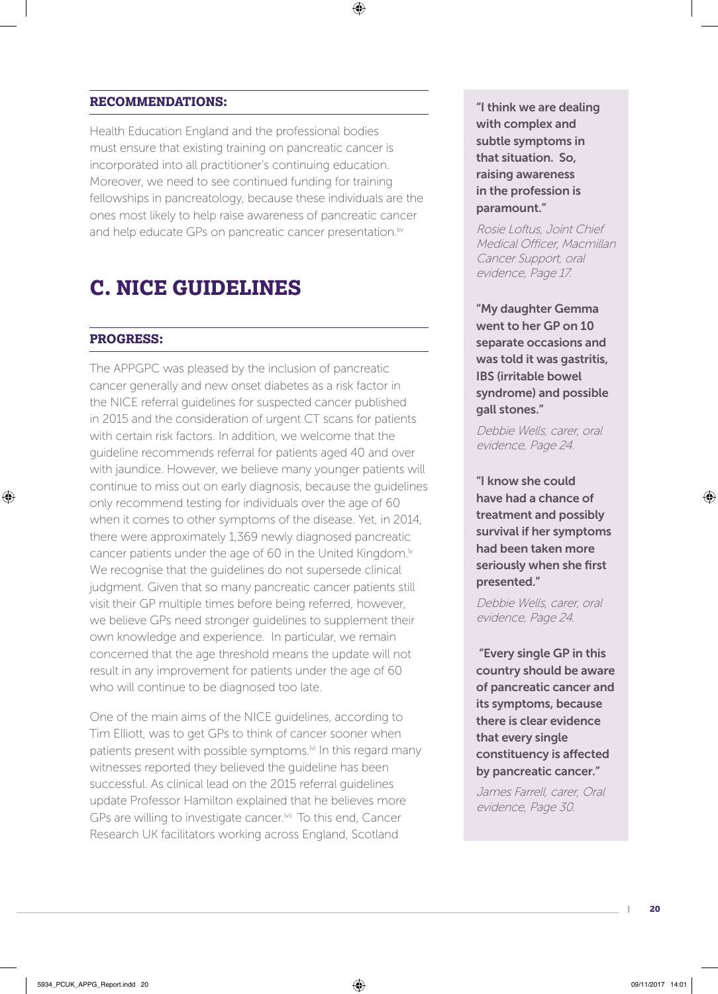#### **RECOMMENDATIONS:**

Health Education England and the professional bodies must ensure that existing training on pancreatic cancer is incorporated into all practitioner's continuing education. Moreover, we need to see continued funding for training fellowships in pancreatology, because these individuals are the ones most likely to help raise awareness of pancreatic cancer and help educate GPs on pancreatic cancer presentation.<sup>liv</sup>

◈

### **C. NICE GUIDELINES**

#### **PROGRESS:**

The APPGPC was pleased by the inclusion of pancreatic cancer generally and new onset diabetes as a risk factor in the NICE referral guidelines for suspected cancer published in 2015 and the consideration of urgent CT scans for patients with certain risk factors. In addition, we welcome that the guideline recommends referral for patients aged 40 and over with jaundice. However, we believe many younger patients will continue to miss out on early diagnosis, because the guidelines only recommend testing for individuals over the age of 60 when it comes to other symptoms of the disease. Yet, in 2014, there were approximately 1,369 newly diagnosed pancreatic cancer patients under the age of 60 in the United Kingdom.<sup>1v</sup> We recognise that the guidelines do not supersede clinical judgment. Given that so many pancreatic cancer patients still visit their GP multiple times before being referred, however, we believe GPs need stronger guidelines to supplement their own knowledge and experience. In particular, we remain concerned that the age threshold means the update will not result in any improvement for patients under the age of 60 who will continue to be diagnosed too late.

One of the main aims of the NICE guidelines, according to Tim Elliott, was to get GPs to think of cancer sooner when patients present with possible symptoms.<sup>M</sup> In this regard many witnesses reported they believed the guideline has been successful. As clinical lead on the 2015 referral guidelines update Professor Hamilton explained that he believes more GPs are willing to investigate cancer.<sup>Mi</sup> To this end, Cancer Research UK facilitators working across England, Scotland

"I think we are dealing with complex and subtle symptoms in that situation. So, raising awareness in the profession is paramount."

Rosie Loftus, Joint Chief Medical Officer, Macmillan Cancer Support, oral evidence, Page 17.

"My daughter Gemma went to her GP on 10 separate occasions and was told it was gastritis, IBS (irritable bowel syndrome) and possible gall stones."

Debbie Wells, carer, oral evidence, Page 24.

"I know she could have had a chance of treatment and possibly survival if her symptoms had been taken more seriously when she first presented."

Debbie Wells, carer, oral evidence, Page 24.

 "Every single GP in this country should be aware of pancreatic cancer and its symptoms, because there is clear evidence that every single constituency is affected by pancreatic cancer."

James Farrell, carer, Oral evidence, Page 30.

| **ALL PARTY PARLIAMENTARY GROUP ON PANCREATIC CANCER** | **20**

◈

⊕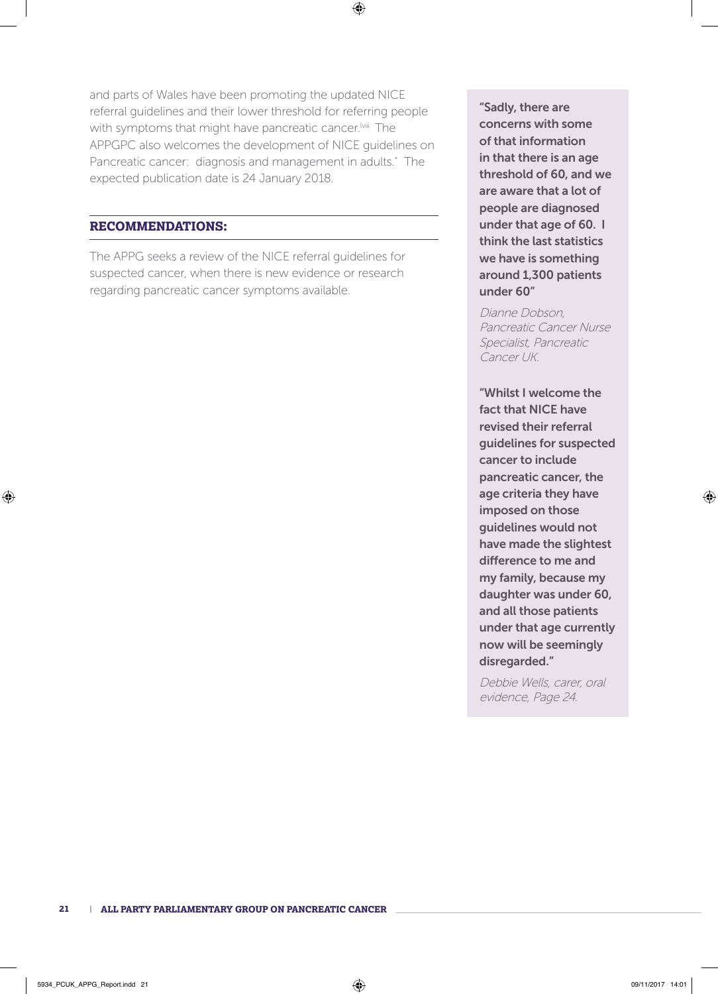and parts of Wales have been promoting the updated NICE referral guidelines and their lower threshold for referring people with symptoms that might have pancreatic cancer.<sup>Iviii</sup> The APPGPC also welcomes the development of NICE guidelines on Pancreatic cancer: diagnosis and management in adults.\* The expected publication date is 24 January 2018.

⊕

#### **RECOMMENDATIONS:**

The APPG seeks a review of the NICE referral guidelines for suspected cancer, when there is new evidence or research regarding pancreatic cancer symptoms available.

"Sadly, there are concerns with some of that information in that there is an age threshold of 60, and we are aware that a lot of people are diagnosed under that age of 60. I think the last statistics we have is something around 1,300 patients under 60"

Dianne Dobson, Pancreatic Cancer Nurse Specialist, Pancreatic Cancer UK.

"Whilst I welcome the fact that NICE have revised their referral guidelines for suspected cancer to include pancreatic cancer, the age criteria they have imposed on those guidelines would not have made the slightest difference to me and my family, because my daughter was under 60, and all those patients under that age currently now will be seemingly disregarded."

Debbie Wells, carer, oral evidence, Page 24.

◈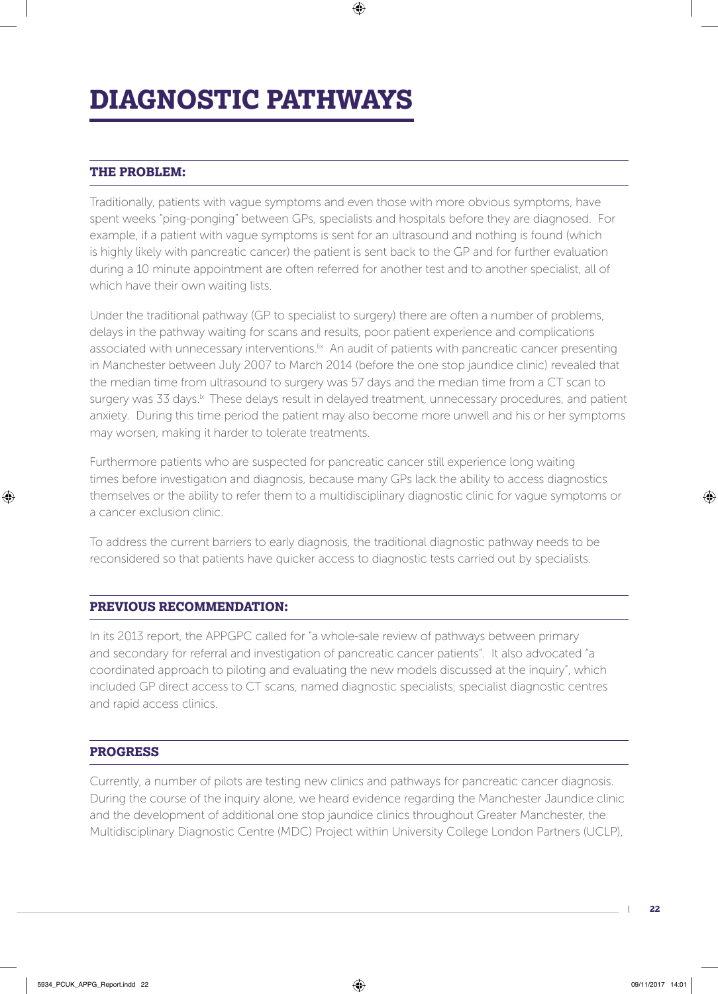## **DIAGNOSTIC PATHWAYS**

#### **THE PROBLEM:**

Traditionally, patients with vague symptoms and even those with more obvious symptoms, have spent weeks "ping-ponging" between GPs, specialists and hospitals before they are diagnosed. For example, if a patient with vague symptoms is sent for an ultrasound and nothing is found (which is highly likely with pancreatic cancer) the patient is sent back to the GP and for further evaluation during a 10 minute appointment are often referred for another test and to another specialist, all of which have their own waiting lists.

⊕

Under the traditional pathway (GP to specialist to surgery) there are often a number of problems, delays in the pathway waiting for scans and results, poor patient experience and complications associated with unnecessary interventions.<sup>lix</sup> An audit of patients with pancreatic cancer presenting in Manchester between July 2007 to March 2014 (before the one stop jaundice clinic) revealed that the median time from ultrasound to surgery was 57 days and the median time from a CT scan to surgery was 33 days.<sup>1x</sup> These delays result in delayed treatment, unnecessary procedures, and patient anxiety. During this time period the patient may also become more unwell and his or her symptoms may worsen, making it harder to tolerate treatments.

Furthermore patients who are suspected for pancreatic cancer still experience long waiting times before investigation and diagnosis, because many GPs lack the ability to access diagnostics themselves or the ability to refer them to a multidisciplinary diagnostic clinic for vague symptoms or a cancer exclusion clinic.

To address the current barriers to early diagnosis, the traditional diagnostic pathway needs to be reconsidered so that patients have quicker access to diagnostic tests carried out by specialists.

#### **PREVIOUS RECOMMENDATION:**

In its 2013 report, the APPGPC called for "a whole-sale review of pathways between primary and secondary for referral and investigation of pancreatic cancer patients". It also advocated "a coordinated approach to piloting and evaluating the new models discussed at the inquiry", which included GP direct access to CT scans, named diagnostic specialists, specialist diagnostic centres and rapid access clinics.

#### **PROGRESS**

◈

Currently, a number of pilots are testing new clinics and pathways for pancreatic cancer diagnosis. During the course of the inquiry alone, we heard evidence regarding the Manchester Jaundice clinic and the development of additional one stop jaundice clinics throughout Greater Manchester, the Multidisciplinary Diagnostic Centre (MDC) Project within University College London Partners (UCLP),

⊕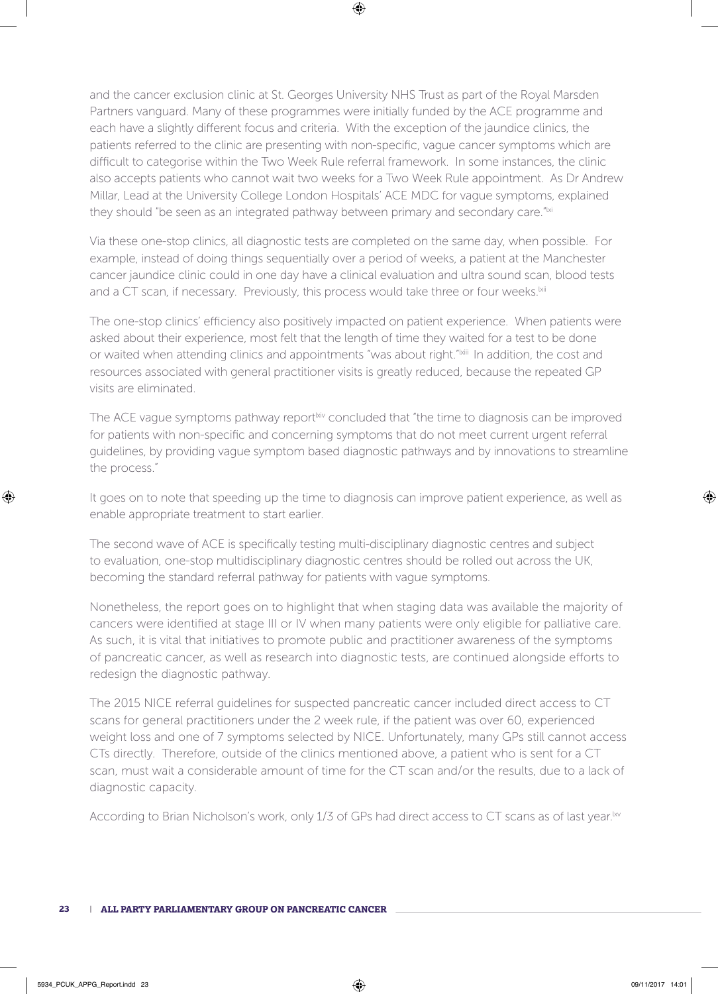and the cancer exclusion clinic at St. Georges University NHS Trust as part of the Royal Marsden Partners vanguard. Many of these programmes were initially funded by the ACE programme and each have a slightly different focus and criteria. With the exception of the jaundice clinics, the patients referred to the clinic are presenting with non-specific, vague cancer symptoms which are difficult to categorise within the Two Week Rule referral framework. In some instances, the clinic also accepts patients who cannot wait two weeks for a Two Week Rule appointment. As Dr Andrew Millar, Lead at the University College London Hospitals' ACE MDC for vague symptoms, explained they should "be seen as an integrated pathway between primary and secondary care." $\frac{N}{N}$ 

⊕

Via these one-stop clinics, all diagnostic tests are completed on the same day, when possible. For example, instead of doing things sequentially over a period of weeks, a patient at the Manchester cancer jaundice clinic could in one day have a clinical evaluation and ultra sound scan, blood tests and a CT scan, if necessary. Previously, this process would take three or four weeks.<sup>[Xii</sup>

The one-stop clinics' efficiency also positively impacted on patient experience. When patients were asked about their experience, most felt that the length of time they waited for a test to be done or waited when attending clinics and appointments "was about right."<sup>xiii</sup> In addition, the cost and resources associated with general practitioner visits is greatly reduced, because the repeated GP visits are eliminated.

The ACE vague symptoms pathway report<sup>ixiv</sup> concluded that "the time to diagnosis can be improved for patients with non-specific and concerning symptoms that do not meet current urgent referral guidelines, by providing vague symptom based diagnostic pathways and by innovations to streamline the process."

It goes on to note that speeding up the time to diagnosis can improve patient experience, as well as enable appropriate treatment to start earlier.

The second wave of ACE is specifically testing multi-disciplinary diagnostic centres and subject to evaluation, one-stop multidisciplinary diagnostic centres should be rolled out across the UK, becoming the standard referral pathway for patients with vague symptoms.

Nonetheless, the report goes on to highlight that when staging data was available the majority of cancers were identified at stage III or IV when many patients were only eligible for palliative care. As such, it is vital that initiatives to promote public and practitioner awareness of the symptoms of pancreatic cancer, as well as research into diagnostic tests, are continued alongside efforts to redesign the diagnostic pathway.

The 2015 NICE referral guidelines for suspected pancreatic cancer included direct access to CT scans for general practitioners under the 2 week rule, if the patient was over 60, experienced weight loss and one of 7 symptoms selected by NICE. Unfortunately, many GPs still cannot access CTs directly. Therefore, outside of the clinics mentioned above, a patient who is sent for a CT scan, must wait a considerable amount of time for the CT scan and/or the results, due to a lack of diagnostic capacity.

According to Brian Nicholson's work, only 1/3 of GPs had direct access to CT scans as of last year.<sup>Ixv</sup>

**23** | **ALL PARTY PARLIAMENTARY GROUP ON PANCREATIC CANCER** |

◈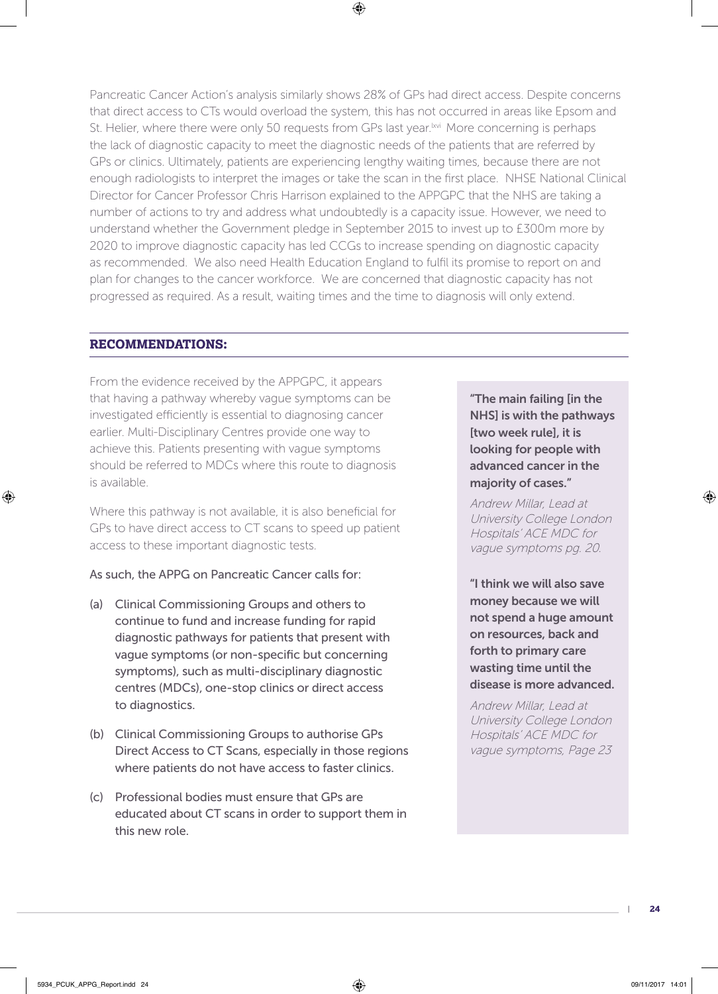Pancreatic Cancer Action's analysis similarly shows 28% of GPs had direct access. Despite concerns that direct access to CTs would overload the system, this has not occurred in areas like Epsom and St. Helier, where there were only 50 requests from GPs last year.<sup>Livi</sup> More concerning is perhaps the lack of diagnostic capacity to meet the diagnostic needs of the patients that are referred by GPs or clinics. Ultimately, patients are experiencing lengthy waiting times, because there are not enough radiologists to interpret the images or take the scan in the first place. NHSE National Clinical Director for Cancer Professor Chris Harrison explained to the APPGPC that the NHS are taking a number of actions to try and address what undoubtedly is a capacity issue. However, we need to understand whether the Government pledge in September 2015 to invest up to £300m more by 2020 to improve diagnostic capacity has led CCGs to increase spending on diagnostic capacity as recommended. We also need Health Education England to fulfil its promise to report on and plan for changes to the cancer workforce. We are concerned that diagnostic capacity has not progressed as required. As a result, waiting times and the time to diagnosis will only extend.

⊕

#### **RECOMMENDATIONS:**

From the evidence received by the APPGPC, it appears that having a pathway whereby vague symptoms can be investigated efficiently is essential to diagnosing cancer earlier. Multi-Disciplinary Centres provide one way to achieve this. Patients presenting with vague symptoms should be referred to MDCs where this route to diagnosis is available.

Where this pathway is not available, it is also beneficial for GPs to have direct access to CT scans to speed up patient access to these important diagnostic tests.

As such, the APPG on Pancreatic Cancer calls for:

- (a) Clinical Commissioning Groups and others to continue to fund and increase funding for rapid diagnostic pathways for patients that present with vague symptoms (or non-specific but concerning symptoms), such as multi-disciplinary diagnostic centres (MDCs), one-stop clinics or direct access to diagnostics.
- (b) Clinical Commissioning Groups to authorise GPs Direct Access to CT Scans, especially in those regions where patients do not have access to faster clinics.
- (c) Professional bodies must ensure that GPs are educated about CT scans in order to support them in this new role.

"The main failing [in the NHS] is with the pathways [two week rule], it is looking for people with advanced cancer in the majority of cases."

Andrew Millar, Lead at University College London Hospitals' ACE MDC for vague symptoms pg. 20.

"I think we will also save money because we will not spend a huge amount on resources, back and forth to primary care wasting time until the disease is more advanced.

Andrew Millar, Lead at University College London Hospitals' ACE MDC for vague symptoms, Page 23

| **ALL PARTY PARLIAMENTARY GROUP ON PANCREATIC CANCER** | **24**

◈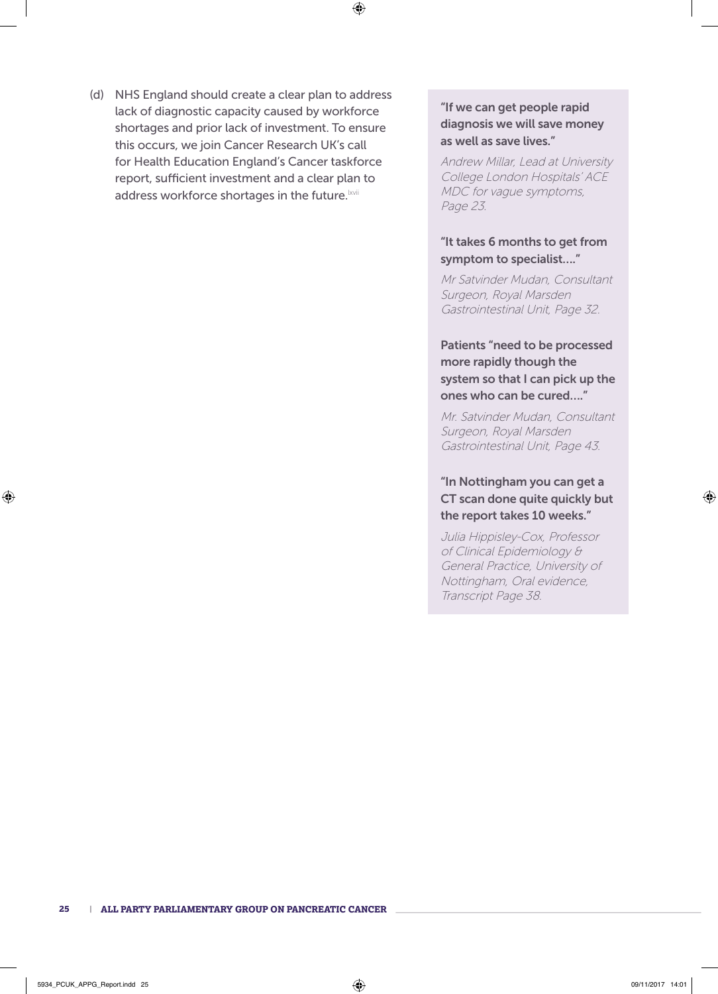- ⊕
- (d) NHS England should create a clear plan to address lack of diagnostic capacity caused by workforce shortages and prior lack of investment. To ensure this occurs, we join Cancer Research UK's call for Health Education England's Cancer taskforce report, sufficient investment and a clear plan to address workforce shortages in the future. Ixvii

#### "If we can get people rapid diagnosis we will save money as well as save lives."

Andrew Millar, Lead at University College London Hospitals' ACE MDC for vague symptoms, Page 23.

#### "It takes 6 months to get from symptom to specialist…."

Mr Satvinder Mudan, Consultant Surgeon, Royal Marsden Gastrointestinal Unit, Page 32.

#### Patients "need to be processed more rapidly though the system so that I can pick up the ones who can be cured…."

Mr. Satvinder Mudan, Consultant Surgeon, Royal Marsden Gastrointestinal Unit, Page 43.

#### "In Nottingham you can get a CT scan done quite quickly but the report takes 10 weeks."

Julia Hippisley-Cox, Professor of Clinical Epidemiology & General Practice, University of Nottingham, Oral evidence, Transcript Page 38.

◈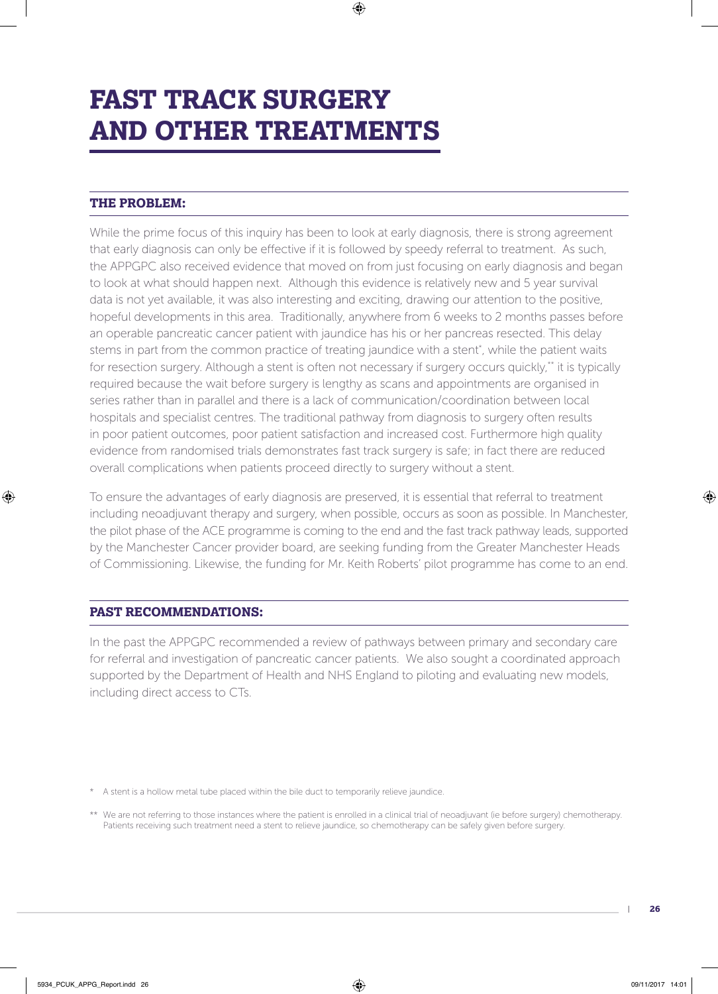### **FAST TRACK SURGERY AND OTHER TREATMENTS**

#### **THE PROBLEM:**

While the prime focus of this inquiry has been to look at early diagnosis, there is strong agreement that early diagnosis can only be effective if it is followed by speedy referral to treatment. As such, the APPGPC also received evidence that moved on from just focusing on early diagnosis and began to look at what should happen next. Although this evidence is relatively new and 5 year survival data is not yet available, it was also interesting and exciting, drawing our attention to the positive, hopeful developments in this area. Traditionally, anywhere from 6 weeks to 2 months passes before an operable pancreatic cancer patient with jaundice has his or her pancreas resected. This delay stems in part from the common practice of treating jaundice with a stent\*, while the patient waits for resection surgery. Although a stent is often not necessary if surgery occurs quickly,\*\* it is typically required because the wait before surgery is lengthy as scans and appointments are organised in series rather than in parallel and there is a lack of communication/coordination between local hospitals and specialist centres. The traditional pathway from diagnosis to surgery often results in poor patient outcomes, poor patient satisfaction and increased cost. Furthermore high quality evidence from randomised trials demonstrates fast track surgery is safe; in fact there are reduced overall complications when patients proceed directly to surgery without a stent.

⊕

To ensure the advantages of early diagnosis are preserved, it is essential that referral to treatment including neoadjuvant therapy and surgery, when possible, occurs as soon as possible. In Manchester, the pilot phase of the ACE programme is coming to the end and the fast track pathway leads, supported by the Manchester Cancer provider board, are seeking funding from the Greater Manchester Heads of Commissioning. Likewise, the funding for Mr. Keith Roberts' pilot programme has come to an end.

#### **PAST RECOMMENDATIONS:**

In the past the APPGPC recommended a review of pathways between primary and secondary care for referral and investigation of pancreatic cancer patients. We also sought a coordinated approach supported by the Department of Health and NHS England to piloting and evaluating new models, including direct access to CTs.

\*\* We are not referring to those instances where the patient is enrolled in a clinical trial of neoadjuvant (ie before surgery) chemotherapy. Patients receiving such treatment need a stent to relieve jaundice, so chemotherapy can be safely given before surgery.

4

A stent is a hollow metal tube placed within the bile duct to temporarily relieve jaundice.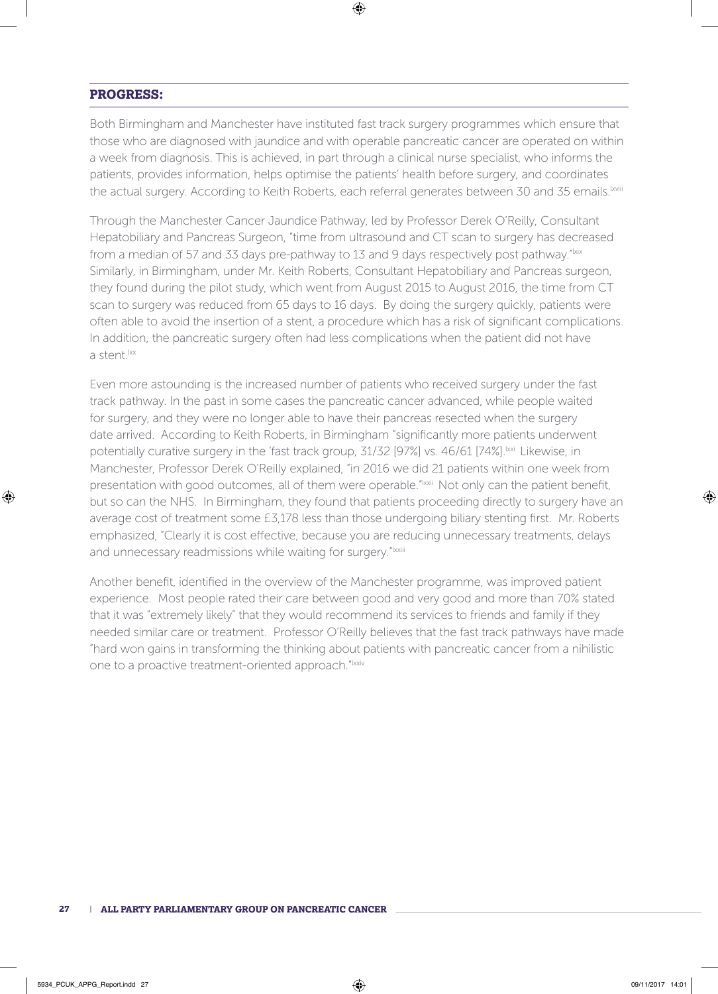#### **PROGRESS:**

Both Birmingham and Manchester have instituted fast track surgery programmes which ensure that those who are diagnosed with jaundice and with operable pancreatic cancer are operated on within a week from diagnosis. This is achieved, in part through a clinical nurse specialist, who informs the patients, provides information, helps optimise the patients' health before surgery, and coordinates the actual surgery. According to Keith Roberts, each referral generates between 30 and 35 emails. Lxviii

⊕

Through the Manchester Cancer Jaundice Pathway, led by Professor Derek O'Reilly, Consultant Hepatobiliary and Pancreas Surgeon, "time from ultrasound and CT scan to surgery has decreased from a median of 57 and 33 days pre-pathway to 13 and 9 days respectively post pathway."Ixix Similarly, in Birmingham, under Mr. Keith Roberts, Consultant Hepatobiliary and Pancreas surgeon, they found during the pilot study, which went from August 2015 to August 2016, the time from CT scan to surgery was reduced from 65 days to 16 days. By doing the surgery quickly, patients were often able to avoid the insertion of a stent, a procedure which has a risk of significant complications. In addition, the pancreatic surgery often had less complications when the patient did not have a stent.lxx

Even more astounding is the increased number of patients who received surgery under the fast track pathway. In the past in some cases the pancreatic cancer advanced, while people waited for surgery, and they were no longer able to have their pancreas resected when the surgery date arrived. According to Keith Roberts, in Birmingham "significantly more patients underwent potentially curative surgery in the 'fast track group, 31/32 [97%] vs. 46/61 [74%].<sup>Lxxi</sup> Likewise, in Manchester, Professor Derek O'Reilly explained, "in 2016 we did 21 patients within one week from presentation with good outcomes, all of them were operable."<sup>Ixxii</sup> Not only can the patient benefit, but so can the NHS. In Birmingham, they found that patients proceeding directly to surgery have an average cost of treatment some £3,178 less than those undergoing biliary stenting first. Mr. Roberts emphasized, "Clearly it is cost effective, because you are reducing unnecessary treatments, delays and unnecessary readmissions while waiting for surgery."<sup>Ixxiii</sup>

Another benefit, identified in the overview of the Manchester programme, was improved patient experience. Most people rated their care between good and very good and more than 70% stated that it was "extremely likely" that they would recommend its services to friends and family if they needed similar care or treatment. Professor O'Reilly believes that the fast track pathways have made "hard won gains in transforming the thinking about patients with pancreatic cancer from a nihilistic one to a proactive treatment-oriented approach."<sup>Ixxiv</sup>

◈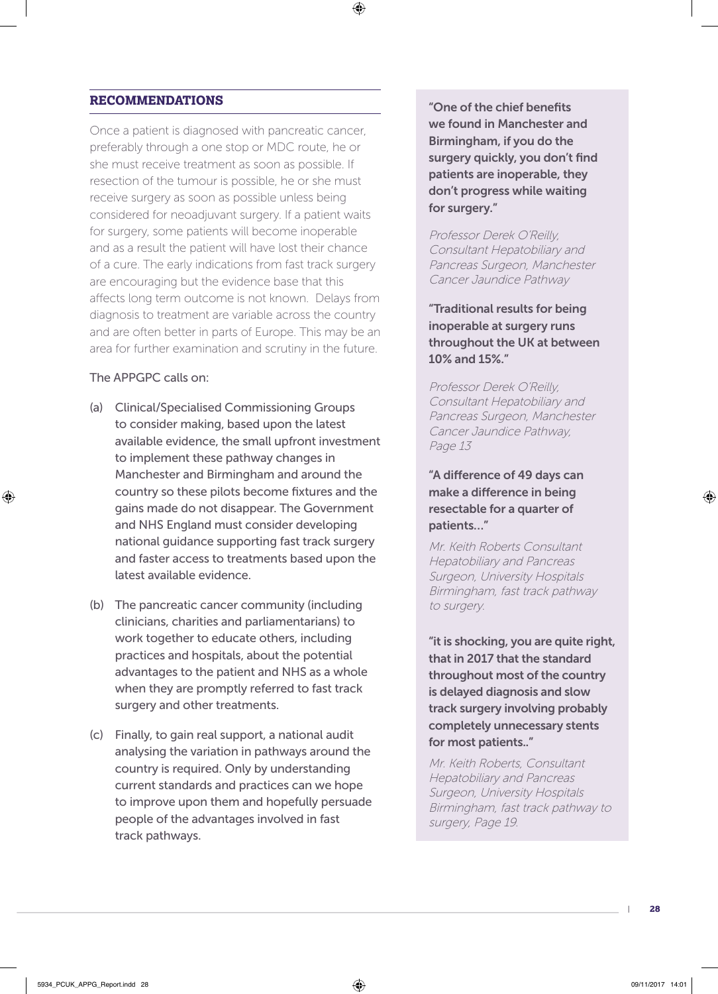#### **RECOMMENDATIONS**

Once a patient is diagnosed with pancreatic cancer, preferably through a one stop or MDC route, he or she must receive treatment as soon as possible. If resection of the tumour is possible, he or she must receive surgery as soon as possible unless being considered for neoadjuvant surgery. If a patient waits for surgery, some patients will become inoperable and as a result the patient will have lost their chance of a cure. The early indications from fast track surgery are encouraging but the evidence base that this affects long term outcome is not known. Delays from diagnosis to treatment are variable across the country and are often better in parts of Europe. This may be an area for further examination and scrutiny in the future.

⊕

#### The APPGPC calls on:

◈

- (a) Clinical/Specialised Commissioning Groups to consider making, based upon the latest available evidence, the small upfront investment to implement these pathway changes in Manchester and Birmingham and around the country so these pilots become fixtures and the gains made do not disappear. The Government and NHS England must consider developing national guidance supporting fast track surgery and faster access to treatments based upon the latest available evidence.
- (b) The pancreatic cancer community (including clinicians, charities and parliamentarians) to work together to educate others, including practices and hospitals, about the potential advantages to the patient and NHS as a whole when they are promptly referred to fast track surgery and other treatments.
- (c) Finally, to gain real support, a national audit analysing the variation in pathways around the country is required. Only by understanding current standards and practices can we hope to improve upon them and hopefully persuade people of the advantages involved in fast track pathways.

"One of the chief benefits we found in Manchester and Birmingham, if you do the surgery quickly, you don't find patients are inoperable, they don't progress while waiting for surgery."

Professor Derek O'Reilly, Consultant Hepatobiliary and Pancreas Surgeon, Manchester Cancer Jaundice Pathway

"Traditional results for being inoperable at surgery runs throughout the UK at between 10% and 15%."

Professor Derek O'Reilly, Consultant Hepatobiliary and Pancreas Surgeon, Manchester Cancer Jaundice Pathway, Page 13

### "A difference of 49 days can make a difference in being resectable for a quarter of patients…"

Mr. Keith Roberts Consultant Hepatobiliary and Pancreas Surgeon, University Hospitals Birmingham, fast track pathway to surgery.

"it is shocking, you are quite right, that in 2017 that the standard throughout most of the country is delayed diagnosis and slow track surgery involving probably completely unnecessary stents for most patients.."

Mr. Keith Roberts, Consultant Hepatobiliary and Pancreas Surgeon, University Hospitals Birmingham, fast track pathway to surgery, Page 19.

⊕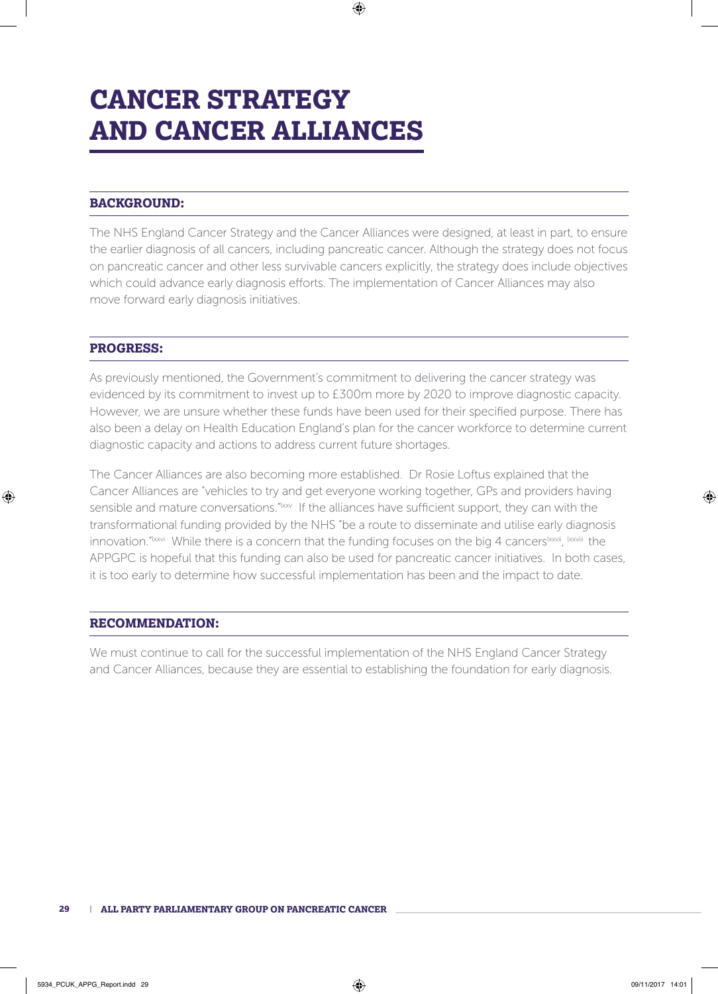### **CANCER STRATEGY AND CANCER ALLIANCES**

#### **BACKGROUND:**

The NHS England Cancer Strategy and the Cancer Alliances were designed, at least in part, to ensure the earlier diagnosis of all cancers, including pancreatic cancer. Although the strategy does not focus on pancreatic cancer and other less survivable cancers explicitly, the strategy does include objectives which could advance early diagnosis efforts. The implementation of Cancer Alliances may also move forward early diagnosis initiatives.

◈

#### **PROGRESS:**

◈

As previously mentioned, the Government's commitment to delivering the cancer strategy was evidenced by its commitment to invest up to £300m more by 2020 to improve diagnostic capacity. However, we are unsure whether these funds have been used for their specified purpose. There has also been a delay on Health Education England's plan for the cancer workforce to determine current diagnostic capacity and actions to address current future shortages.

The Cancer Alliances are also becoming more established. Dr Rosie Loftus explained that the Cancer Alliances are "vehicles to try and get everyone working together, GPs and providers having sensible and mature conversations."<sup>Ixxv</sup> If the alliances have sufficient support, they can with the transformational funding provided by the NHS "be a route to disseminate and utilise early diagnosis innovation."<sup>Ixxvi</sup> While there is a concern that the funding focuses on the big 4 cancers<sup>Ixxvii</sup>, <sup>Ixxviii</sup> the APPGPC is hopeful that this funding can also be used for pancreatic cancer initiatives. In both cases, it is too early to determine how successful implementation has been and the impact to date.

#### **RECOMMENDATION:**

We must continue to call for the successful implementation of the NHS England Cancer Strategy and Cancer Alliances, because they are essential to establishing the foundation for early diagnosis. ⊕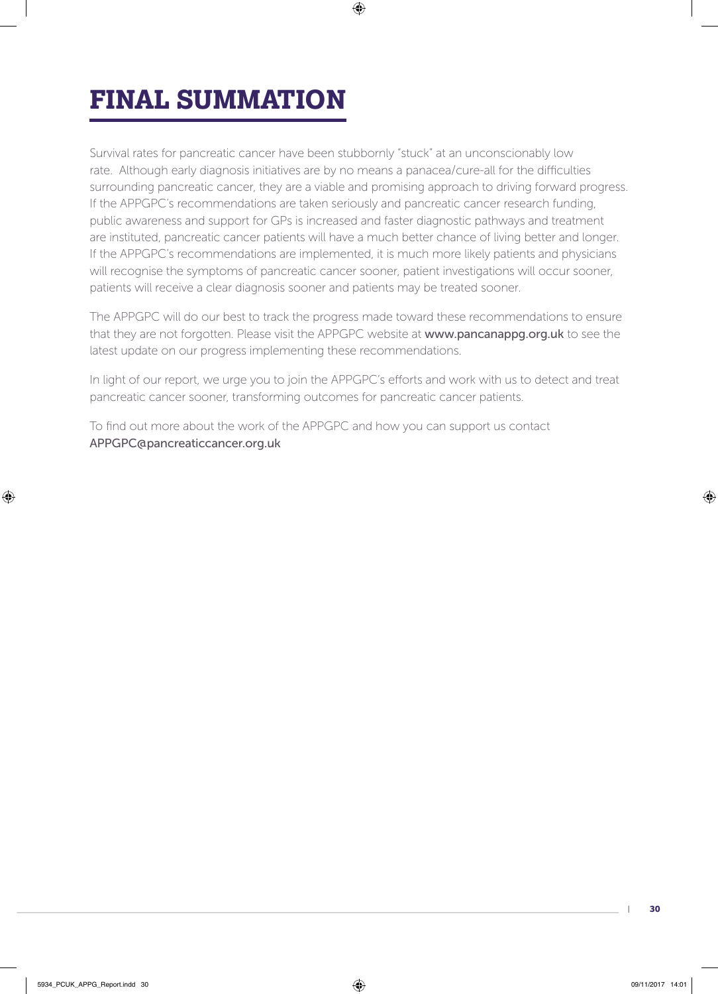# **FINAL SUMMATION**

Survival rates for pancreatic cancer have been stubbornly "stuck" at an unconscionably low rate. Although early diagnosis initiatives are by no means a panacea/cure-all for the difficulties surrounding pancreatic cancer, they are a viable and promising approach to driving forward progress. If the APPGPC's recommendations are taken seriously and pancreatic cancer research funding, public awareness and support for GPs is increased and faster diagnostic pathways and treatment are instituted, pancreatic cancer patients will have a much better chance of living better and longer. If the APPGPC's recommendations are implemented, it is much more likely patients and physicians will recognise the symptoms of pancreatic cancer sooner, patient investigations will occur sooner, patients will receive a clear diagnosis sooner and patients may be treated sooner.

⊕

The APPGPC will do our best to track the progress made toward these recommendations to ensure that they are not forgotten. Please visit the APPGPC website at www.pancanappg.org.uk to see the latest update on our progress implementing these recommendations.

In light of our report, we urge you to join the APPGPC's efforts and work with us to detect and treat pancreatic cancer sooner, transforming outcomes for pancreatic cancer patients.

To find out more about the work of the APPGPC and how you can support us contact APPGPC@pancreaticcancer.org.uk

◈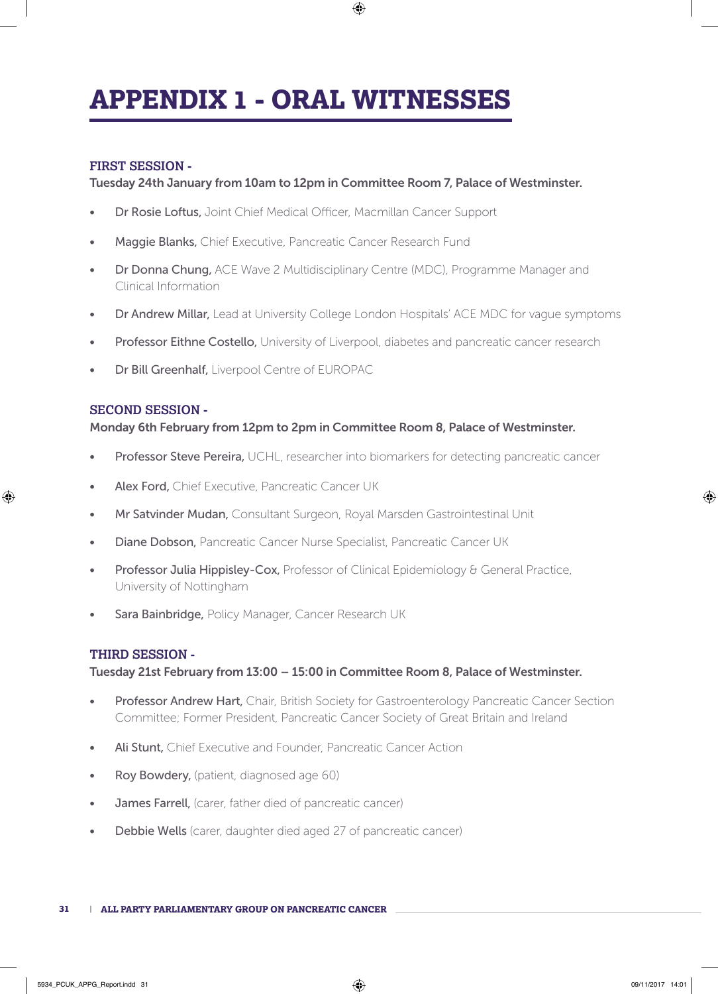## **APPENDIX 1 - ORAL WITNESSES**

#### **FIRST SESSION -**

#### Tuesday 24th January from 10am to 12pm in Committee Room 7, Palace of Westminster.

⊕

- Dr Rosie Loftus, Joint Chief Medical Officer, Macmillan Cancer Support
- Maggie Blanks, Chief Executive, Pancreatic Cancer Research Fund
- Dr Donna Chung, ACE Wave 2 Multidisciplinary Centre (MDC), Programme Manager and Clinical Information
- Dr Andrew Millar, Lead at University College London Hospitals' ACE MDC for vague symptoms
- Professor Eithne Costello, University of Liverpool, diabetes and pancreatic cancer research
- Dr Bill Greenhalf, Liverpool Centre of EUROPAC

#### **SECOND SESSION -**

◈

#### Monday 6th February from 12pm to 2pm in Committee Room 8, Palace of Westminster.

- Professor Steve Pereira, UCHL, researcher into biomarkers for detecting pancreatic cancer
- Alex Ford, Chief Executive, Pancreatic Cancer UK
- Mr Satvinder Mudan, Consultant Surgeon, Royal Marsden Gastrointestinal Unit
- Diane Dobson, Pancreatic Cancer Nurse Specialist, Pancreatic Cancer UK
- Professor Julia Hippisley-Cox, Professor of Clinical Epidemiology & General Practice, University of Nottingham
- Sara Bainbridge, Policy Manager, Cancer Research UK

#### **THIRD SESSION -**

Tuesday 21st February from 13:00 – 15:00 in Committee Room 8, Palace of Westminster.

- Professor Andrew Hart, Chair, British Society for Gastroenterology Pancreatic Cancer Section Committee; Former President, Pancreatic Cancer Society of Great Britain and Ireland
- Ali Stunt, Chief Executive and Founder, Pancreatic Cancer Action
- Roy Bowdery, (patient, diagnosed age 60)
- James Farrell, (carer, father died of pancreatic cancer)
- **Debbie Wells** (carer, daughter died aged 27 of pancreatic cancer)

**31** | **ALL PARTY PARLIAMENTARY GROUP ON PANCREATIC CANCER** |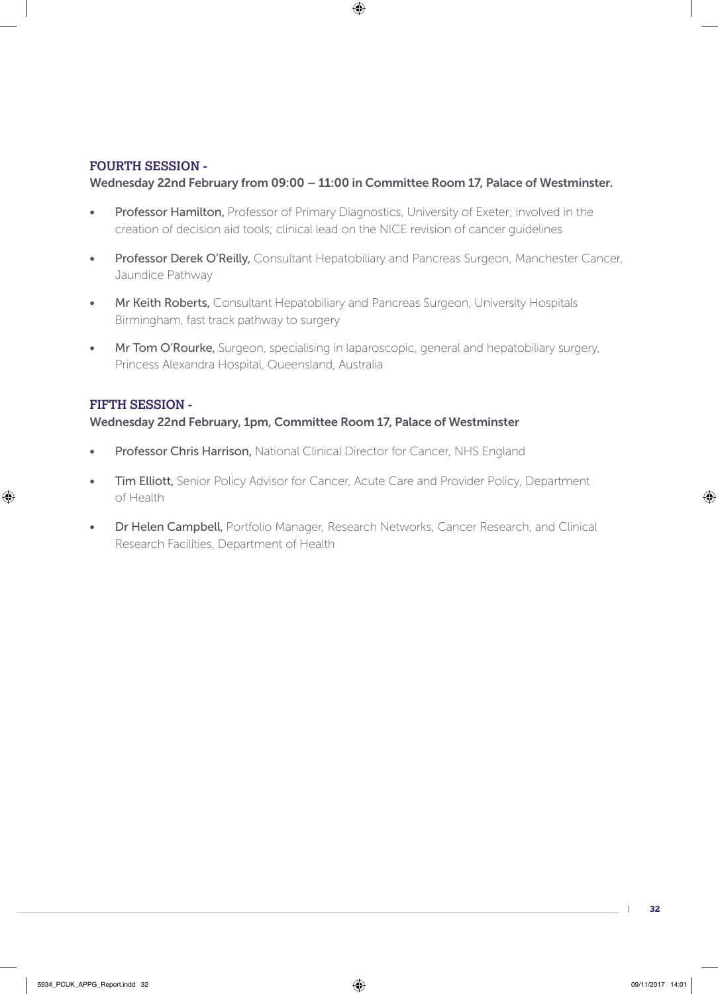#### **FOURTH SESSION -**

#### Wednesday 22nd February from 09:00 – 11:00 in Committee Room 17, Palace of Westminster.

⊕

- Professor Hamilton, Professor of Primary Diagnostics, University of Exeter; involved in the creation of decision aid tools; clinical lead on the NICE revision of cancer guidelines
- Professor Derek O'Reilly, Consultant Hepatobiliary and Pancreas Surgeon, Manchester Cancer, Jaundice Pathway
- Mr Keith Roberts, Consultant Hepatobiliary and Pancreas Surgeon, University Hospitals Birmingham, fast track pathway to surgery
- Mr Tom O'Rourke, Surgeon, specialising in laparoscopic, general and hepatobiliary surgery, Princess Alexandra Hospital, Queensland, Australia

#### **FIFTH SESSION -**

◈

#### Wednesday 22nd February, 1pm, Committee Room 17, Palace of Westminster

- Professor Chris Harrison, National Clinical Director for Cancer, NHS England
- **Tim Elliott,** Senior Policy Advisor for Cancer, Acute Care and Provider Policy, Department of Health
- Dr Helen Campbell, Portfolio Manager, Research Networks, Cancer Research, and Clinical Research Facilities, Department of Health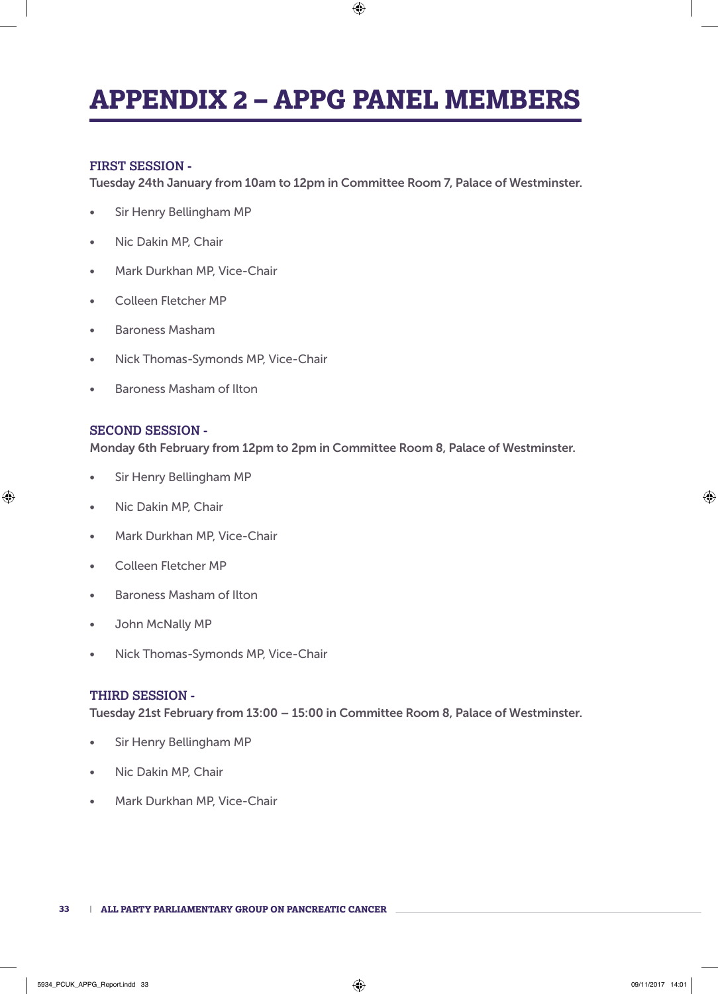### **APPENDIX 2 – APPG PANEL MEMBERS**

 $\bigoplus$ 

#### **FIRST SESSION -**

Tuesday 24th January from 10am to 12pm in Committee Room 7, Palace of Westminster.

- Sir Henry Bellingham MP
- Nic Dakin MP, Chair
- Mark Durkhan MP, Vice-Chair
- Colleen Fletcher MP
- Baroness Masham
- Nick Thomas-Symonds MP, Vice-Chair
- Baroness Masham of Ilton

#### **SECOND SESSION -**

Monday 6th February from 12pm to 2pm in Committee Room 8, Palace of Westminster.

- Sir Henry Bellingham MP
- Nic Dakin MP, Chair

⊕

- Mark Durkhan MP, Vice-Chair
- Colleen Fletcher MP
- Baroness Masham of Ilton
- John McNally MP
- Nick Thomas-Symonds MP, Vice-Chair

#### **THIRD SESSION -**

Tuesday 21st February from 13:00 – 15:00 in Committee Room 8, Palace of Westminster.

- Sir Henry Bellingham MP
- Nic Dakin MP, Chair
- Mark Durkhan MP, Vice-Chair

**33** | **ALL PARTY PARLIAMENTARY GROUP ON PANCREATIC CANCER** |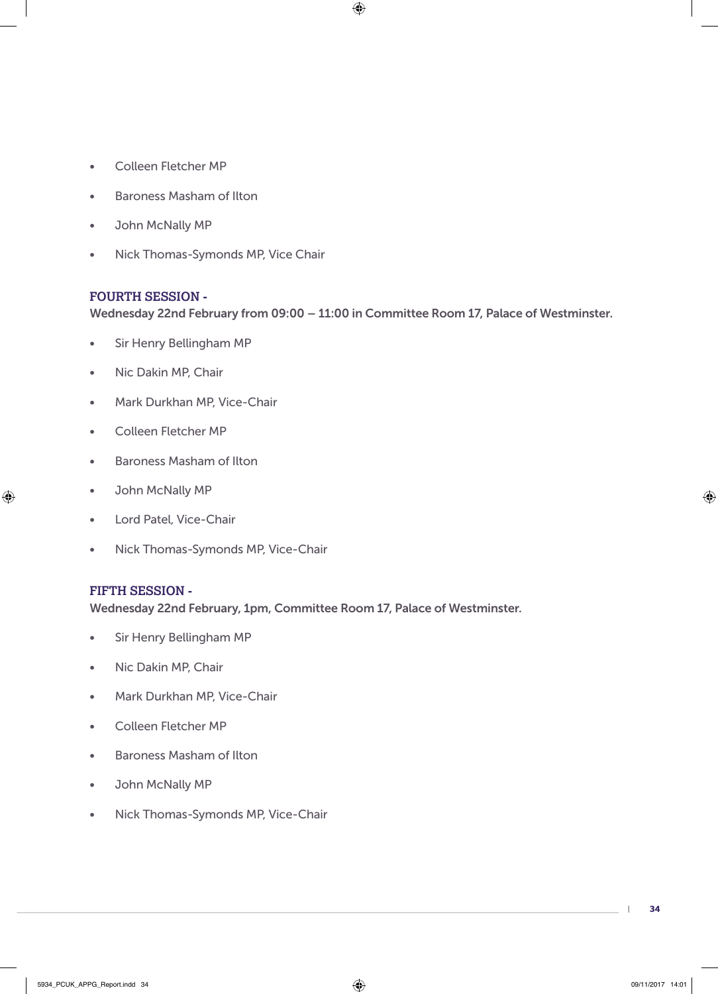$\bigoplus$ 

- Colleen Fletcher MP
- Baroness Masham of Ilton
- John McNally MP
- Nick Thomas-Symonds MP, Vice Chair

#### **FOURTH SESSION -**

Wednesday 22nd February from 09:00 – 11:00 in Committee Room 17, Palace of Westminster.

- Sir Henry Bellingham MP
- Nic Dakin MP, Chair
- Mark Durkhan MP, Vice-Chair
- Colleen Fletcher MP
- Baroness Masham of Ilton
- John McNally MP

◈

- Lord Patel, Vice-Chair
- Nick Thomas-Symonds MP, Vice-Chair

#### **FIFTH SESSION -**

Wednesday 22nd February, 1pm, Committee Room 17, Palace of Westminster.

- Sir Henry Bellingham MP
- Nic Dakin MP, Chair
- Mark Durkhan MP, Vice-Chair
- Colleen Fletcher MP
- Baroness Masham of Ilton
- John McNally MP
- Nick Thomas-Symonds MP, Vice-Chair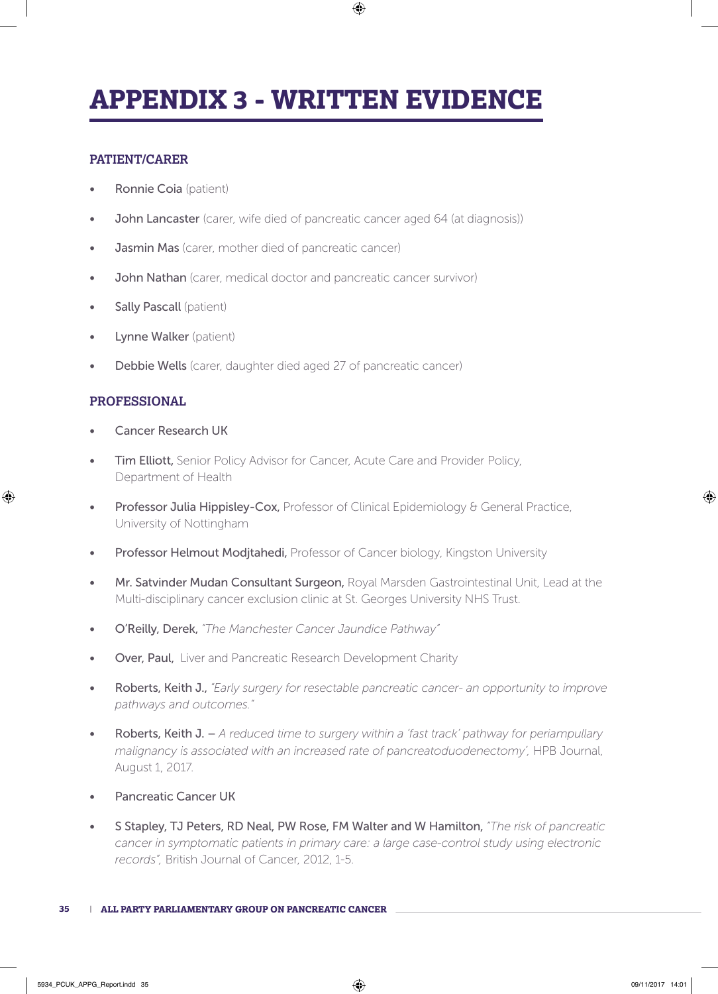## **APPENDIX 3 - WRITTEN EVIDENCE**

⊕

#### **PATIENT/CARER**

- Ronnie Coia (patient)
- **John Lancaster** (carer, wife died of pancreatic cancer aged 64 (at diagnosis))
- Jasmin Mas (carer, mother died of pancreatic cancer)
- John Nathan (carer, medical doctor and pancreatic cancer survivor)
- Sally Pascall (patient)
- **Lynne Walker** (patient)
- Debbie Wells (carer, daughter died aged 27 of pancreatic cancer)

#### **PROFESSIONAL**

◈

- Cancer Research UK
- **Tim Elliott, Senior Policy Advisor for Cancer, Acute Care and Provider Policy,** Department of Health
- Professor Julia Hippisley-Cox, Professor of Clinical Epidemiology & General Practice, University of Nottingham
- Professor Helmout Modjtahedi, Professor of Cancer biology, Kingston University
- Mr. Satvinder Mudan Consultant Surgeon, Royal Marsden Gastrointestinal Unit, Lead at the Multi-disciplinary cancer exclusion clinic at St. Georges University NHS Trust.
- O'Reilly, Derek, *"The Manchester Cancer Jaundice Pathway"*
- **Over, Paul,** Liver and Pancreatic Research Development Charity
- Roberts, Keith J., *"Early surgery for resectable pancreatic cancer- an opportunity to improve pathways and outcomes."*
- Roberts, Keith J. *A reduced time to surgery within a 'fast track' pathway for periampullary malignancy is associated with an increased rate of pancreatoduodenectomy',* HPB Journal, August 1, 2017.
- Pancreatic Cancer UK
- S Stapley, TJ Peters, RD Neal, PW Rose, FM Walter and W Hamilton, *"The risk of pancreatic cancer in symptomatic patients in primary care: a large case-control study using electronic records",* British Journal of Cancer, 2012, 1-5.

**35** | **ALL PARTY PARLIAMENTARY GROUP ON PANCREATIC CANCER** |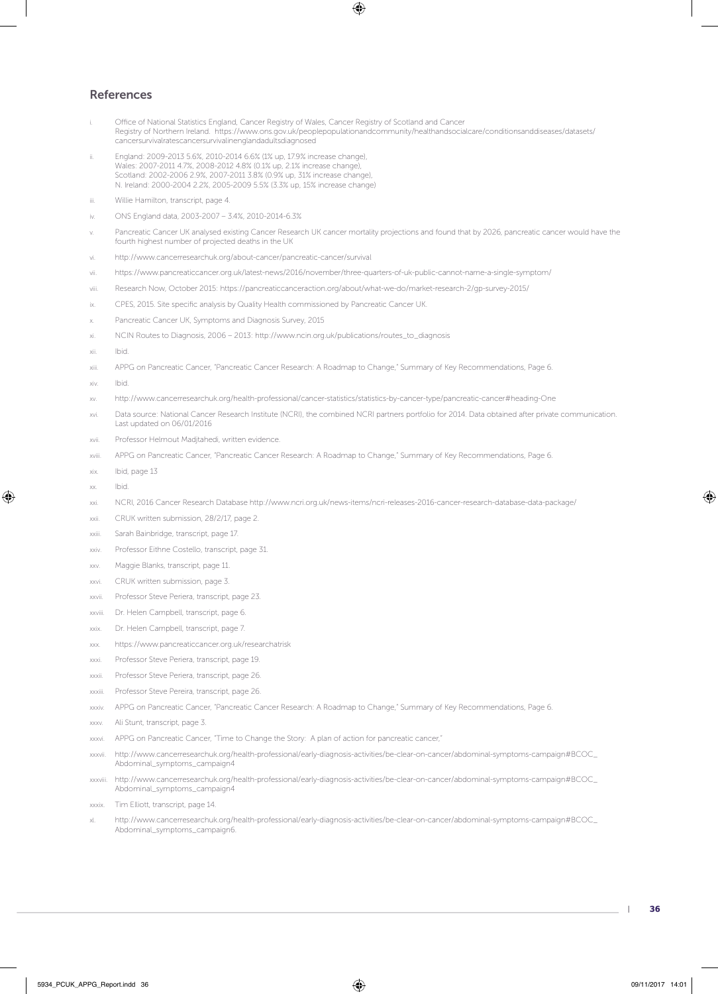#### References

Office of National Statistics England, Cancer Registry of Wales, Cancer Registry of Scotland and Cancer Registry of Northern Ireland. https://www.ons.gov.uk/peoplepopulationandcommunity/healthandsocialcare/conditionsanddiseases/datasets/ cancersurvivalratescancersurvivalinenglandadultsdiagnosed

⊕

- England: 2009-2013 5.6%, 2010-2014 6.6% (1% up, 17.9% increase change), Wales: 2007-2011 4.7%, 2008-2012 4.8% (0.1% up, 2.1% increase change), Scotland: 2002-2006 2.9%, 2007-2011 3.8% (0.9% up, 31% increase change), N. Ireland: 2000-2004 2.2%, 2005-2009 5.5% (3.3% up, 15% increase change)
- iii. Willie Hamilton, transcript, page 4.
- iv. ONS England data, 2003-2007 3.4%, 2010-2014-6.3%
- Pancreatic Cancer UK analysed existing Cancer Research UK cancer mortality projections and found that by 2026, pancreatic cancer would have the fourth highest number of projected deaths in the UK
- vi. http://www.cancerresearchuk.org/about-cancer/pancreatic-cancer/survival
- vii. https://www.pancreaticcancer.org.uk/latest-news/2016/november/three-quarters-of-uk-public-cannot-name-a-single-symptom/
- viii. Research Now, October 2015: https://pancreaticcanceraction.org/about/what-we-do/market-research-2/gp-survey-2015/
- CPES, 2015. Site specific analysis by Quality Health commissioned by Pancreatic Cancer UK.
- Pancreatic Cancer UK, Symptoms and Diagnosis Survey, 2015
- xi. NCIN Routes to Diagnosis, 2006 2013: http://www.ncin.org.uk/publications/routes\_to\_diagnosis
- xii. Ibid.
- xiii. APPG on Pancreatic Cancer, "Pancreatic Cancer Research: A Roadmap to Change," Summary of Key Recommendations, Page 6.
- xiv. Ibid.
- xv. http://www.cancerresearchuk.org/health-professional/cancer-statistics/statistics-by-cancer-type/pancreatic-cancer#heading-One
- xvi. Data source: National Cancer Research Institute (NCRI), the combined NCRI partners portfolio for 2014. Data obtained after private communication. Last updated on 06/01/2016
- xvii. Professor Helmout Madjtahedi, written evidence.
- xviii. APPG on Pancreatic Cancer, "Pancreatic Cancer Research: A Roadmap to Change," Summary of Key Recommendations, Page 6.
- xix. Ibid, page 13
- xx. Ibid.

⊕

- xxi. NCRI, 2016 Cancer Research Database http://www.ncri.org.uk/news-items/ncri-releases-2016-cancer-research-database-data-package/
- xxii. CRUK written submission, 28/2/17, page 2.
- xxiii. Sarah Bainbridge, transcript, page 17.
- xxiv. Professor Eithne Costello, transcript, page 31.
- xxv. Maggie Blanks, transcript, page 11.
- xxvi. CRUK written submission, page 3.
- xxvii. Professor Steve Periera, transcript, page 23.
- xxviii. Dr. Helen Campbell, transcript, page 6.
- xxix. Dr. Helen Campbell, transcript, page 7.
- xxx. https://www.pancreaticcancer.org.uk/researchatrisk
- xxxi. Professor Steve Periera, transcript, page 19.
- xxxii. Professor Steve Periera, transcript, page 26.
- xxxiii. Professor Steve Pereira, transcript, page 26.
- xxxiv. APPG on Pancreatic Cancer, "Pancreatic Cancer Research: A Roadmap to Change," Summary of Key Recommendations, Page 6.
- xxxv. Ali Stunt, transcript, page 3.
- xxxvi. APPG on Pancreatic Cancer, "Time to Change the Story: A plan of action for pancreatic cancer,"
- xxxvii. http://www.cancerresearchuk.org/health-professional/early-diagnosis-activities/be-clear-on-cancer/abdominal-symptoms-campaign#BCOC\_ Abdominal\_symptoms\_campaign4
- xxxviii. http://www.cancerresearchuk.org/health-professional/early-diagnosis-activities/be-clear-on-cancer/abdominal-symptoms-campaign#BCOC\_ Abdominal\_symptoms\_campaign4
- xxxix. Tim Elliott, transcript, page 14.
- xl. http://www.cancerresearchuk.org/health-professional/early-diagnosis-activities/be-clear-on-cancer/abdominal-symptoms-campaign#BCOC\_ Abdominal\_symptoms\_campaign6.

| **ALL PARTY PARLIAMENTARY GROUP ON PANCREATIC CANCER** | **36**

♠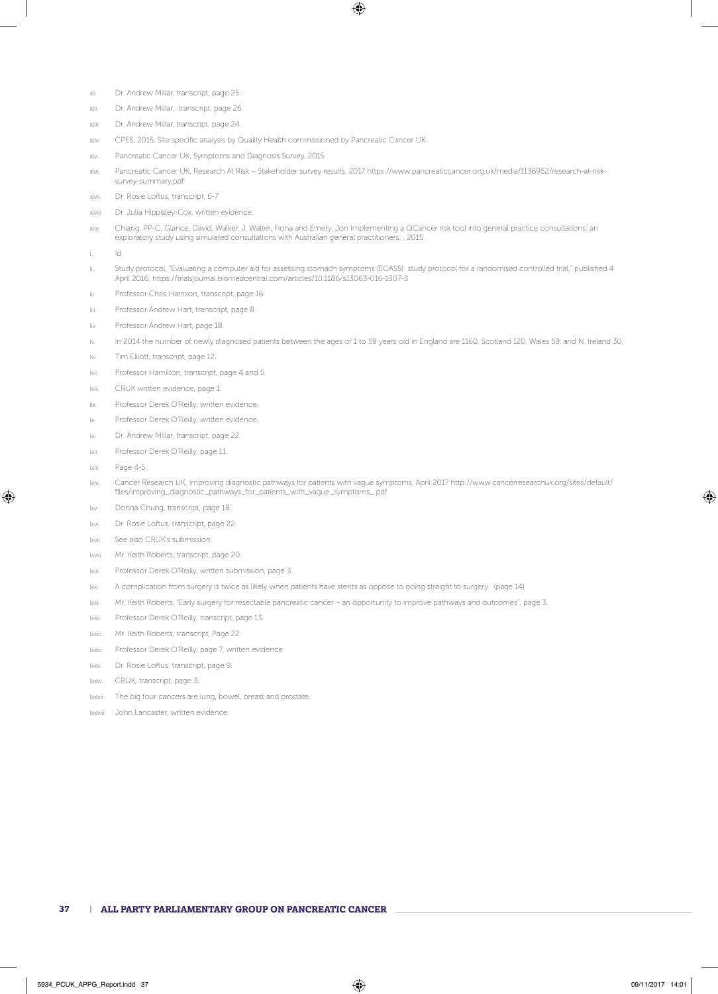- xli. Dr. Andrew Millar, transcript, page 25.
- xlii. Dr. Andrew Millar, transcript, page 26.
- xliii. Dr. Andrew Millar, transcript, page 24.
- xliv. CPES, 2015. Site specific analysis by Quality Health commissioned by Pancreatic Cancer UK.
- xlv. Pancreatic Cancer UK, Symptoms and Diagnosis Survey, 2015
- xlvi. Pancreatic Cancer UK, Research At Risk Stakeholder survey results, 2017 https://www.pancreaticcancer.org.uk/media/1136952/research-at-risksurvey-summary.pdf

⊕

- xlvii. Dr. Rosie Loftus, transcript, 6-7
- xlviii. Dr. Julia Hippisley-Cox, written evidence.
- xlix. Chiang, PP-C, Glance, David, Walker, J, Walter, Fiona and Emery, Jon Implementing a QCancer risk tool into general practice consultations: an exploratory study using simulated consultations with Australian general practitioners. , 2015.

l. Id.

- li. Study protocol, "Evaluating a computer aid for assessing stomach symptoms (ECASS): study protocol for a randomised controlled trial," published 4 April 2016, https://trialsjournal.biomedcentral.com/articles/10.1186/s13063-016-1307-3
- lii. Professor Chris Harrison, transcript, page 16.
- liii. Professor Andrew Hart, transcript, page 8.
- liv. Professor Andrew Hart, page 18.
- lv. In 2014 the number of newly diagnosed patients between the ages of 1 to 59 years old in England are 1160, Scotland 120, Wales 59, and N. Ireland 30.
- lvi. Tim Elliott, transcript, page 12.
- lvii. Professor Hamilton, transcript, page 4 and 5.
- lviii. CRUK written evidence, page 1.
- lix. Professor Derek O'Reilly, written evidence.
- lx. Professor Derek O'Reilly, written evidence.
- lxi. Dr. Andrew Millar, transcript, page 22.
- lxii. Professor Derek O'Reilly, page 11.
- lxiii. Page 4-5.

◈

- lxiv. Cancer Research UK, Improving diagnostic pathways for patients with vague symptoms, April 2017 http://www.cancerresearchuk.org/sites/default/ files/improving\_diagnostic\_pathways\_for\_patients\_with\_vague\_symptoms\_.pdf
- lxv. Donna Chung, transcript, page 18.
- lxvi. Dr. Rosie Loftus, transcript, page 22.
- lxvii. See also CRUK's submission.
- lxviii. Mr. Keith Roberts, transcript, page 20.
- lxix. Professor Derek O'Reilly, written submission, page 3.
- lxx. A complication from surgery is twice as likely when patients have stents as oppose to going straight to surgery. (page 14)
- lxxi. Mr. Keith Roberts, "Early surgery for resectable pancreatic cancer an opportunity to improve pathways and outcomes", page 3.
- lxxii. Professor Derek O'Reilly, transcript, page 13.
- lxxiii. Mr. Keith Roberts, transcript, Page 22.
- lxxiv. Professor Derek O'Reilly, page 7, written evidence
- lxxv. Dr. Rosie Loftus, transcript, page 9.
- lxxvi. CRUK, transcript, page 3.
- lxxvii. The big four cancers are lung, bowel, breast and prostate.
- lxxviii. John Lancaster, written evidence.

⊕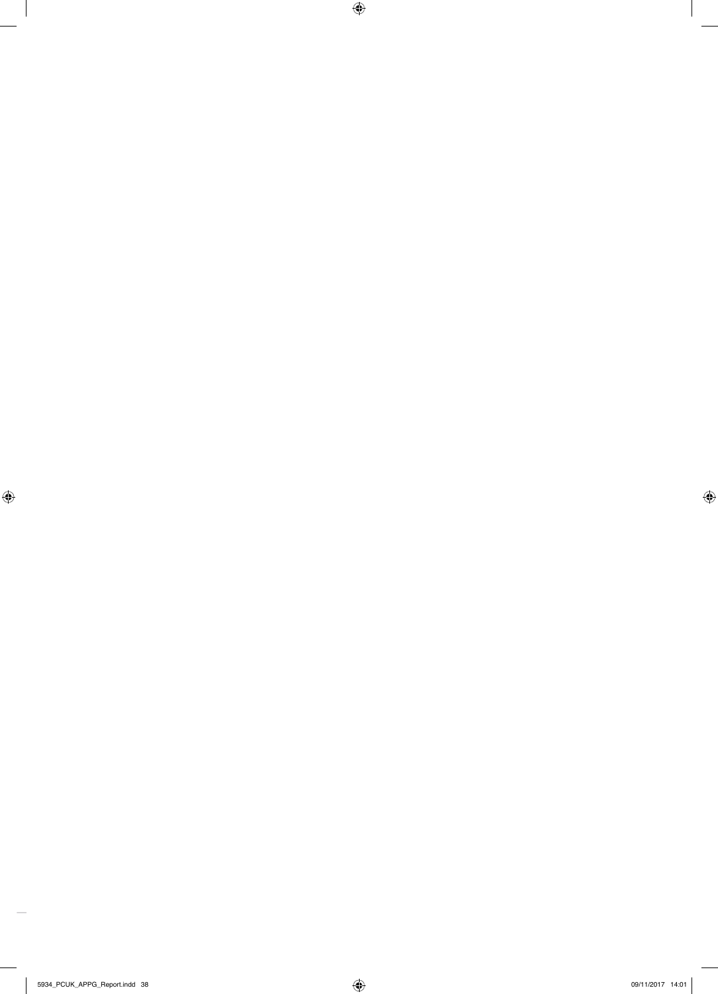$\equiv$ 

 $\bigoplus$ 

 $\bigoplus$ 

 $\bigoplus$